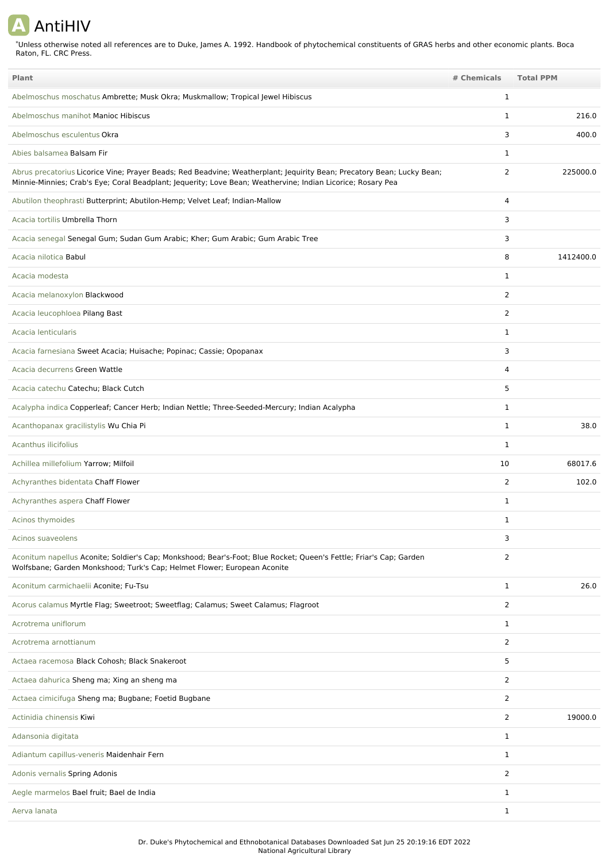## **A** AntiHIV

\*Unless otherwise noted all references are to Duke, James A. 1992. Handbook of phytochemical constituents of GRAS herbs and other economic plants. Boca Raton, FL. CRC Press.

| Plant                                                                                                                                                                                                                                 | # Chemicals    | <b>Total PPM</b> |
|---------------------------------------------------------------------------------------------------------------------------------------------------------------------------------------------------------------------------------------|----------------|------------------|
| Abelmoschus moschatus Ambrette; Musk Okra; Muskmallow; Tropical Jewel Hibiscus                                                                                                                                                        | 1              |                  |
| Abelmoschus manihot Manioc Hibiscus                                                                                                                                                                                                   | $\mathbf{1}$   | 216.0            |
| Abelmoschus esculentus Okra                                                                                                                                                                                                           | 3              | 400.0            |
| Abies balsamea Balsam Fir                                                                                                                                                                                                             | $\mathbf{1}$   |                  |
| Abrus precatorius Licorice Vine; Prayer Beads; Red Beadvine; Weatherplant; Jequirity Bean; Precatory Bean; Lucky Bean;<br>Minnie-Minnies; Crab's Eye; Coral Beadplant; Jequerity; Love Bean; Weathervine; Indian Licorice; Rosary Pea | 2              | 225000.0         |
| Abutilon theophrasti Butterprint; Abutilon-Hemp; Velvet Leaf; Indian-Mallow                                                                                                                                                           | 4              |                  |
| Acacia tortilis Umbrella Thorn                                                                                                                                                                                                        | 3              |                  |
| Acacia senegal Senegal Gum; Sudan Gum Arabic; Kher; Gum Arabic; Gum Arabic Tree                                                                                                                                                       | 3              |                  |
| Acacia nilotica Babul                                                                                                                                                                                                                 | 8              | 1412400.0        |
| Acacia modesta                                                                                                                                                                                                                        | $\mathbf{1}$   |                  |
| Acacia melanoxylon Blackwood                                                                                                                                                                                                          | 2              |                  |
| Acacia leucophloea Pilang Bast                                                                                                                                                                                                        | 2              |                  |
| Acacia lenticularis                                                                                                                                                                                                                   | 1              |                  |
| Acacia farnesiana Sweet Acacia; Huisache; Popinac; Cassie; Opopanax                                                                                                                                                                   | 3              |                  |
| Acacia decurrens Green Wattle                                                                                                                                                                                                         | 4              |                  |
| Acacia catechu Catechu; Black Cutch                                                                                                                                                                                                   | 5              |                  |
| Acalypha indica Copperleaf; Cancer Herb; Indian Nettle; Three-Seeded-Mercury; Indian Acalypha                                                                                                                                         | 1              |                  |
| Acanthopanax gracilistylis Wu Chia Pi                                                                                                                                                                                                 | 1              | 38.0             |
| Acanthus ilicifolius                                                                                                                                                                                                                  | 1              |                  |
| Achillea millefolium Yarrow; Milfoil                                                                                                                                                                                                  | 10             | 68017.6          |
| Achyranthes bidentata Chaff Flower                                                                                                                                                                                                    | 2              | 102.0            |
| Achyranthes aspera Chaff Flower                                                                                                                                                                                                       | 1              |                  |
| Acinos thymoides                                                                                                                                                                                                                      | 1              |                  |
| Acinos suaveolens                                                                                                                                                                                                                     | 3              |                  |
| Aconitum napellus Aconite; Soldier's Cap; Monkshood; Bear's-Foot; Blue Rocket; Queen's Fettle; Friar's Cap; Garden<br>Wolfsbane; Garden Monkshood; Turk's Cap; Helmet Flower; European Aconite                                        | 2              |                  |
| Aconitum carmichaelii Aconite; Fu-Tsu                                                                                                                                                                                                 | $\mathbf{1}$   | 26.0             |
| Acorus calamus Myrtle Flag; Sweetroot; Sweetflag; Calamus; Sweet Calamus; Flagroot                                                                                                                                                    | $\overline{2}$ |                  |
| Acrotrema uniflorum                                                                                                                                                                                                                   | $\mathbf{1}$   |                  |
| Acrotrema arnottianum                                                                                                                                                                                                                 | $\overline{2}$ |                  |
| Actaea racemosa Black Cohosh; Black Snakeroot                                                                                                                                                                                         | 5              |                  |
| Actaea dahurica Sheng ma; Xing an sheng ma                                                                                                                                                                                            | 2              |                  |
| Actaea cimicifuga Sheng ma; Bugbane; Foetid Bugbane                                                                                                                                                                                   | $\overline{2}$ |                  |
| Actinidia chinensis Kiwi                                                                                                                                                                                                              | $\overline{2}$ | 19000.0          |
| Adansonia digitata                                                                                                                                                                                                                    | $\mathbf{1}$   |                  |
| Adiantum capillus-veneris Maidenhair Fern                                                                                                                                                                                             | $\mathbf{1}$   |                  |
| Adonis vernalis Spring Adonis                                                                                                                                                                                                         | 2              |                  |
| Aegle marmelos Bael fruit; Bael de India                                                                                                                                                                                              | 1              |                  |
| Aerva lanata                                                                                                                                                                                                                          | $\mathbf{1}$   |                  |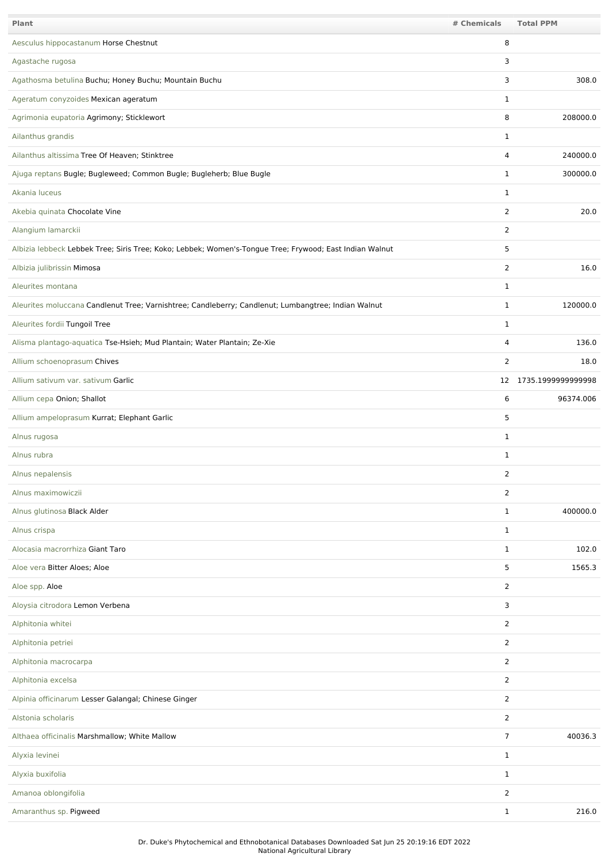| Plant                                                                                                   | # Chemicals    | <b>Total PPM</b>      |
|---------------------------------------------------------------------------------------------------------|----------------|-----------------------|
| Aesculus hippocastanum Horse Chestnut                                                                   | 8              |                       |
| Agastache rugosa                                                                                        | 3              |                       |
| Agathosma betulina Buchu; Honey Buchu; Mountain Buchu                                                   | 3              | 308.0                 |
| Ageratum conyzoides Mexican ageratum                                                                    | $\mathbf{1}$   |                       |
| Agrimonia eupatoria Agrimony; Sticklewort                                                               | 8              | 208000.0              |
| Ailanthus grandis                                                                                       | 1              |                       |
| Ailanthus altissima Tree Of Heaven; Stinktree                                                           | $\overline{4}$ | 240000.0              |
| Ajuga reptans Bugle; Bugleweed; Common Bugle; Bugleherb; Blue Bugle                                     | $\mathbf{1}$   | 300000.0              |
| Akania luceus                                                                                           | $\mathbf{1}$   |                       |
| Akebia quinata Chocolate Vine                                                                           | $\overline{2}$ | 20.0                  |
| Alangium lamarckii                                                                                      | $\overline{2}$ |                       |
| Albizia lebbeck Lebbek Tree; Siris Tree; Koko; Lebbek; Women's-Tongue Tree; Frywood; East Indian Walnut | 5              |                       |
| Albizia julibrissin Mimosa                                                                              | $\overline{2}$ | 16.0                  |
| Aleurites montana                                                                                       | $\mathbf{1}$   |                       |
| Aleurites moluccana Candlenut Tree; Varnishtree; Candleberry; Candlenut; Lumbangtree; Indian Walnut     | 1              | 120000.0              |
| Aleurites fordii Tungoil Tree                                                                           | $\mathbf{1}$   |                       |
| Alisma plantago-aquatica Tse-Hsieh; Mud Plantain; Water Plantain; Ze-Xie                                | 4              | 136.0                 |
| Allium schoenoprasum Chives                                                                             | 2              | 18.0                  |
| Allium sativum var. sativum Garlic                                                                      |                | 12 1735.1999999999998 |
| Allium cepa Onion; Shallot                                                                              | 6              | 96374.006             |
| Allium ampeloprasum Kurrat; Elephant Garlic                                                             | 5              |                       |
| Alnus rugosa                                                                                            | $\mathbf{1}$   |                       |
| Alnus rubra                                                                                             | 1              |                       |
| Alnus nepalensis                                                                                        | 2              |                       |
| Alnus maximowiczii                                                                                      | $\overline{2}$ |                       |
| Alnus glutinosa Black Alder                                                                             | $\mathbf{1}$   | 400000.0              |
| Alnus crispa                                                                                            | $\mathbf{1}$   |                       |
| Alocasia macrorrhiza Giant Taro                                                                         | $\mathbf{1}$   | 102.0                 |
| Aloe vera Bitter Aloes; Aloe                                                                            | 5              | 1565.3                |
| Aloe spp. Aloe                                                                                          | $\overline{2}$ |                       |
| Aloysia citrodora Lemon Verbena                                                                         | 3              |                       |
| Alphitonia whitei                                                                                       | $\overline{2}$ |                       |
| Alphitonia petriei                                                                                      | 2              |                       |
| Alphitonia macrocarpa                                                                                   | $\overline{2}$ |                       |
| Alphitonia excelsa                                                                                      | $\overline{2}$ |                       |
| Alpinia officinarum Lesser Galangal; Chinese Ginger                                                     | $\overline{2}$ |                       |
| Alstonia scholaris                                                                                      | $\overline{2}$ |                       |
| Althaea officinalis Marshmallow; White Mallow                                                           | $\overline{7}$ | 40036.3               |
| Alyxia levinei                                                                                          | $\mathbf{1}$   |                       |
| Alyxia buxifolia                                                                                        | $\mathbf{1}$   |                       |
| Amanoa oblongifolia                                                                                     | 2              |                       |
| Amaranthus sp. Pigweed                                                                                  | $\mathbf{1}$   | 216.0                 |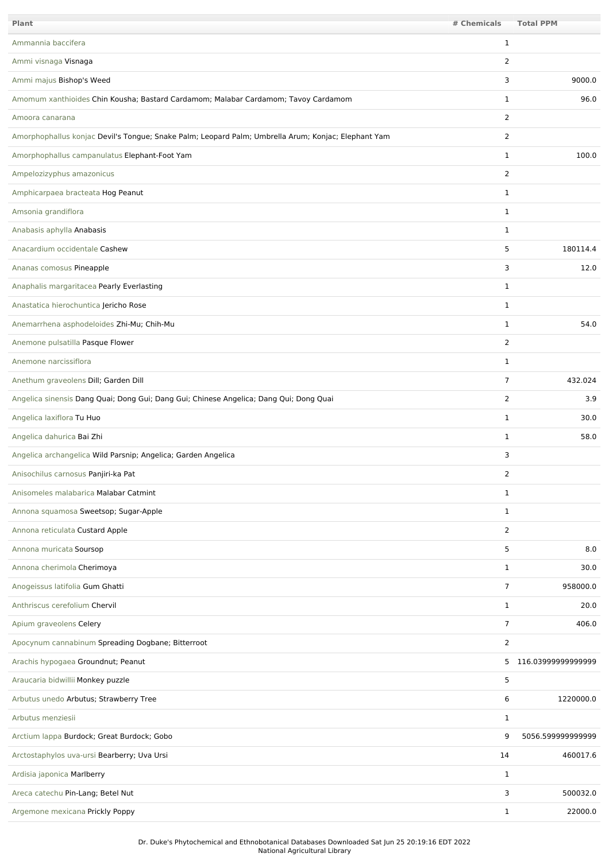| Plant                                                                                               | # Chemicals    | <b>Total PPM</b>     |
|-----------------------------------------------------------------------------------------------------|----------------|----------------------|
| Ammannia baccifera                                                                                  | $\mathbf{1}$   |                      |
| Ammi visnaga Visnaga                                                                                | 2              |                      |
| Ammi majus Bishop's Weed                                                                            | 3              | 9000.0               |
| Amomum xanthioides Chin Kousha; Bastard Cardamom; Malabar Cardamom; Tavoy Cardamom                  | $\mathbf{1}$   | 96.0                 |
| Amoora canarana                                                                                     | $\overline{2}$ |                      |
| Amorphophallus konjac Devil's Tongue; Snake Palm; Leopard Palm; Umbrella Arum; Konjac; Elephant Yam | $\overline{2}$ |                      |
| Amorphophallus campanulatus Elephant-Foot Yam                                                       | 1              | 100.0                |
| Ampelozizyphus amazonicus                                                                           | $\overline{2}$ |                      |
| Amphicarpaea bracteata Hog Peanut                                                                   | $\mathbf{1}$   |                      |
| Amsonia grandiflora                                                                                 | $\mathbf{1}$   |                      |
| Anabasis aphylla Anabasis                                                                           | 1              |                      |
| Anacardium occidentale Cashew                                                                       | 5              | 180114.4             |
| Ananas comosus Pineapple                                                                            | 3              | 12.0                 |
| Anaphalis margaritacea Pearly Everlasting                                                           | $\mathbf{1}$   |                      |
| Anastatica hierochuntica Jericho Rose                                                               | 1              |                      |
| Anemarrhena asphodeloides Zhi-Mu; Chih-Mu                                                           | 1              | 54.0                 |
| Anemone pulsatilla Pasque Flower                                                                    | $\overline{2}$ |                      |
| Anemone narcissiflora                                                                               | 1              |                      |
| Anethum graveolens Dill; Garden Dill                                                                | $\overline{7}$ | 432.024              |
| Angelica sinensis Dang Quai; Dong Gui; Dang Gui; Chinese Angelica; Dang Qui; Dong Quai              | 2              | 3.9                  |
| Angelica laxiflora Tu Huo                                                                           | $\mathbf{1}$   | 30.0                 |
| Angelica dahurica Bai Zhi                                                                           | 1              | 58.0                 |
| Angelica archangelica Wild Parsnip; Angelica; Garden Angelica                                       | 3              |                      |
| Anisochilus carnosus Panjiri-ka Pat                                                                 | 2              |                      |
| Anisomeles malabarica Malabar Catmint                                                               | 1              |                      |
| Annona squamosa Sweetsop; Sugar-Apple                                                               | $\mathbf{1}$   |                      |
| Annona reticulata Custard Apple                                                                     | $\overline{2}$ |                      |
| Annona muricata Soursop                                                                             | 5              | 8.0                  |
| Annona cherimola Cherimoya                                                                          | $\mathbf{1}$   | 30.0                 |
| Anogeissus latifolia Gum Ghatti                                                                     | $\overline{7}$ | 958000.0             |
| Anthriscus cerefolium Chervil                                                                       | $\mathbf{1}$   | 20.0                 |
| Apium graveolens Celery                                                                             | $\overline{7}$ | 406.0                |
| Apocynum cannabinum Spreading Dogbane; Bitterroot                                                   | $\overline{2}$ |                      |
| Arachis hypogaea Groundnut; Peanut                                                                  |                | 5 116.03999999999999 |
| Araucaria bidwillii Monkey puzzle                                                                   | 5              |                      |
| Arbutus unedo Arbutus; Strawberry Tree                                                              | 6              | 1220000.0            |
| Arbutus menziesii                                                                                   | $\mathbf{1}$   |                      |
| Arctium lappa Burdock; Great Burdock; Gobo                                                          | 9              | 5056.599999999999    |
| Arctostaphylos uva-ursi Bearberry; Uva Ursi                                                         | 14             | 460017.6             |
| Ardisia japonica Marlberry                                                                          | $\mathbf{1}$   |                      |
| Areca catechu Pin-Lang; Betel Nut                                                                   | 3              | 500032.0             |
| Argemone mexicana Prickly Poppy                                                                     | $\mathbf{1}$   | 22000.0              |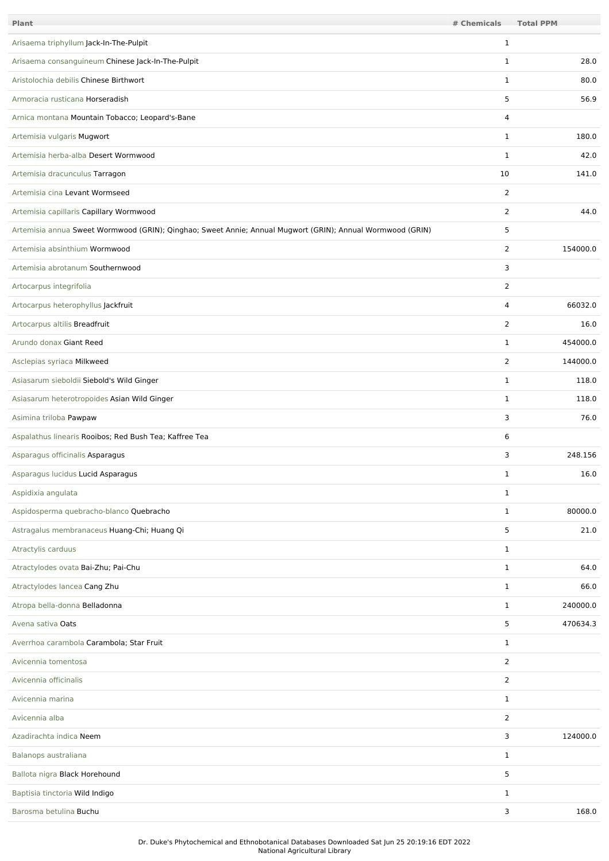| <b>Plant</b>                                                                                               | # Chemicals    | <b>Total PPM</b> |
|------------------------------------------------------------------------------------------------------------|----------------|------------------|
| Arisaema triphyllum Jack-In-The-Pulpit                                                                     | $\mathbf{1}$   |                  |
| Arisaema consanguineum Chinese Jack-In-The-Pulpit                                                          | $\mathbf{1}$   | 28.0             |
| Aristolochia debilis Chinese Birthwort                                                                     | $\mathbf{1}$   | 80.0             |
| Armoracia rusticana Horseradish                                                                            | 5              | 56.9             |
| Arnica montana Mountain Tobacco; Leopard's-Bane                                                            | $\overline{4}$ |                  |
| Artemisia vulgaris Mugwort                                                                                 | $\mathbf{1}$   | 180.0            |
| Artemisia herba-alba Desert Wormwood                                                                       | $\mathbf{1}$   | 42.0             |
| Artemisia dracunculus Tarragon                                                                             | 10             | 141.0            |
| Artemisia cina Levant Wormseed                                                                             | $\overline{2}$ |                  |
| Artemisia capillaris Capillary Wormwood                                                                    | 2              | 44.0             |
| Artemisia annua Sweet Wormwood (GRIN); Qinghao; Sweet Annie; Annual Mugwort (GRIN); Annual Wormwood (GRIN) | 5              |                  |
| Artemisia absinthium Wormwood                                                                              | $\overline{2}$ | 154000.0         |
| Artemisia abrotanum Southernwood                                                                           | 3              |                  |
| Artocarpus integrifolia                                                                                    | 2              |                  |
| Artocarpus heterophyllus Jackfruit                                                                         | 4              | 66032.0          |
| Artocarpus altilis Breadfruit                                                                              | 2              | 16.0             |
| Arundo donax Giant Reed                                                                                    | 1              | 454000.0         |
| Asclepias syriaca Milkweed                                                                                 | 2              | 144000.0         |
| Asiasarum sieboldii Siebold's Wild Ginger                                                                  | $\mathbf{1}$   | 118.0            |
| Asiasarum heterotropoides Asian Wild Ginger                                                                | $\mathbf{1}$   | 118.0            |
| Asimina triloba Pawpaw                                                                                     | 3              | 76.0             |
| Aspalathus linearis Rooibos; Red Bush Tea; Kaffree Tea                                                     | 6              |                  |
| Asparagus officinalis Asparagus                                                                            | 3              | 248.156          |
| Asparagus lucidus Lucid Asparagus                                                                          | 1              | 16.0             |
| Aspidixia angulata                                                                                         | $\mathbf{1}$   |                  |
| Aspidosperma quebracho-blanco Quebracho                                                                    | $\mathbf{1}$   | 80000.0          |
| Astragalus membranaceus Huang-Chi; Huang Qi                                                                | 5              | 21.0             |
| Atractylis carduus                                                                                         | $\mathbf{1}$   |                  |
| Atractylodes ovata Bai-Zhu; Pai-Chu                                                                        | $\mathbf{1}$   | 64.0             |
| Atractylodes lancea Cang Zhu                                                                               | $\mathbf{1}$   | 66.0             |
| Atropa bella-donna Belladonna                                                                              | $\mathbf{1}$   | 240000.0         |
| Avena sativa Oats                                                                                          | 5              | 470634.3         |
| Averrhoa carambola Carambola; Star Fruit                                                                   | $\mathbf{1}$   |                  |
| Avicennia tomentosa                                                                                        | $\overline{2}$ |                  |
| Avicennia officinalis                                                                                      | $\overline{2}$ |                  |
| Avicennia marina                                                                                           | $\mathbf{1}$   |                  |
| Avicennia alba                                                                                             | $\overline{2}$ |                  |
| Azadirachta indica Neem                                                                                    | 3              | 124000.0         |
| Balanops australiana                                                                                       | $\mathbf{1}$   |                  |
| Ballota nigra Black Horehound                                                                              | 5              |                  |
| Baptisia tinctoria Wild Indigo                                                                             | $\mathbf{1}$   |                  |
| Barosma betulina Buchu                                                                                     | 3              | 168.0            |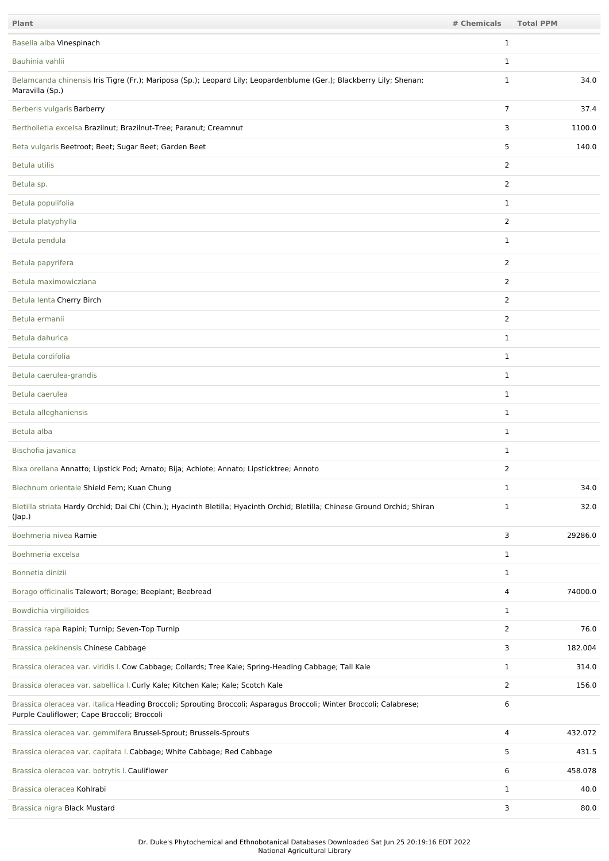| Plant                                                                                                                                                               | # Chemicals    | <b>Total PPM</b> |
|---------------------------------------------------------------------------------------------------------------------------------------------------------------------|----------------|------------------|
| Basella alba Vinespinach                                                                                                                                            | 1              |                  |
| Bauhinia vahlii                                                                                                                                                     | 1              |                  |
| Belamcanda chinensis Iris Tigre (Fr.); Mariposa (Sp.); Leopard Lily; Leopardenblume (Ger.); Blackberry Lily; Shenan;<br>Maravilla (Sp.)                             | $\mathbf{1}$   | 34.0             |
| Berberis vulgaris Barberry                                                                                                                                          | $\overline{7}$ | 37.4             |
| Bertholletia excelsa Brazilnut; Brazilnut-Tree; Paranut; Creamnut                                                                                                   | 3              | 1100.0           |
| Beta vulgaris Beetroot; Beet; Sugar Beet; Garden Beet                                                                                                               | 5              | 140.0            |
| Betula utilis                                                                                                                                                       | $\overline{2}$ |                  |
| Betula sp.                                                                                                                                                          | 2              |                  |
| Betula populifolia                                                                                                                                                  | $\mathbf{1}$   |                  |
| Betula platyphylla                                                                                                                                                  | $\overline{2}$ |                  |
| Betula pendula                                                                                                                                                      | $\mathbf{1}$   |                  |
| Betula papyrifera                                                                                                                                                   | 2              |                  |
| Betula maximowicziana                                                                                                                                               | $\overline{2}$ |                  |
| Betula lenta Cherry Birch                                                                                                                                           | $\overline{2}$ |                  |
| Betula ermanii                                                                                                                                                      | $\overline{2}$ |                  |
| Betula dahurica                                                                                                                                                     | $\mathbf{1}$   |                  |
| Betula cordifolia                                                                                                                                                   | $\mathbf{1}$   |                  |
| Betula caerulea-grandis                                                                                                                                             | $\mathbf{1}$   |                  |
| Betula caerulea                                                                                                                                                     | $\mathbf{1}$   |                  |
| Betula alleghaniensis                                                                                                                                               | $\mathbf{1}$   |                  |
| Betula alba                                                                                                                                                         | $\mathbf{1}$   |                  |
| Bischofia javanica                                                                                                                                                  | $\mathbf{1}$   |                  |
| Bixa orellana Annatto; Lipstick Pod; Arnato; Bija; Achiote; Annato; Lipsticktree; Annoto                                                                            | 2              |                  |
| Blechnum orientale Shield Fern; Kuan Chung                                                                                                                          | $\mathbf{1}$   | 34.0             |
| Bletilla striata Hardy Orchid; Dai Chi (Chin.); Hyacinth Bletilla; Hyacinth Orchid; Bletilla; Chinese Ground Orchid; Shiran<br>(Jap.)                               | $\mathbf{1}$   | 32.0             |
| Boehmeria nivea Ramie                                                                                                                                               | 3              | 29286.0          |
| Boehmeria excelsa                                                                                                                                                   | $\mathbf{1}$   |                  |
| Bonnetia dinizii                                                                                                                                                    | $\mathbf{1}$   |                  |
| Borago officinalis Talewort; Borage; Beeplant; Beebread                                                                                                             | 4              | 74000.0          |
| Bowdichia virgilioides                                                                                                                                              | $\mathbf{1}$   |                  |
| Brassica rapa Rapini; Turnip; Seven-Top Turnip                                                                                                                      | $\overline{2}$ | 76.0             |
| Brassica pekinensis Chinese Cabbage                                                                                                                                 | 3              | 182.004          |
| Brassica oleracea var. viridis I. Cow Cabbage; Collards; Tree Kale; Spring-Heading Cabbage; Tall Kale                                                               | $\mathbf{1}$   | 314.0            |
| Brassica oleracea var. sabellica I. Curly Kale; Kitchen Kale; Kale; Scotch Kale                                                                                     | 2              | 156.0            |
| Brassica oleracea var. italica Heading Broccoli; Sprouting Broccoli; Asparagus Broccoli; Winter Broccoli; Calabrese;<br>Purple Cauliflower; Cape Broccoli; Broccoli | 6              |                  |
| Brassica oleracea var. gemmifera Brussel-Sprout; Brussels-Sprouts                                                                                                   | 4              | 432.072          |
| Brassica oleracea var. capitata I. Cabbage; White Cabbage; Red Cabbage                                                                                              | 5              | 431.5            |
| Brassica oleracea var. botrytis I. Cauliflower                                                                                                                      | 6              | 458.078          |
| Brassica oleracea Kohlrabi                                                                                                                                          | $\mathbf{1}$   | 40.0             |
| Brassica nigra Black Mustard                                                                                                                                        | 3              | 80.0             |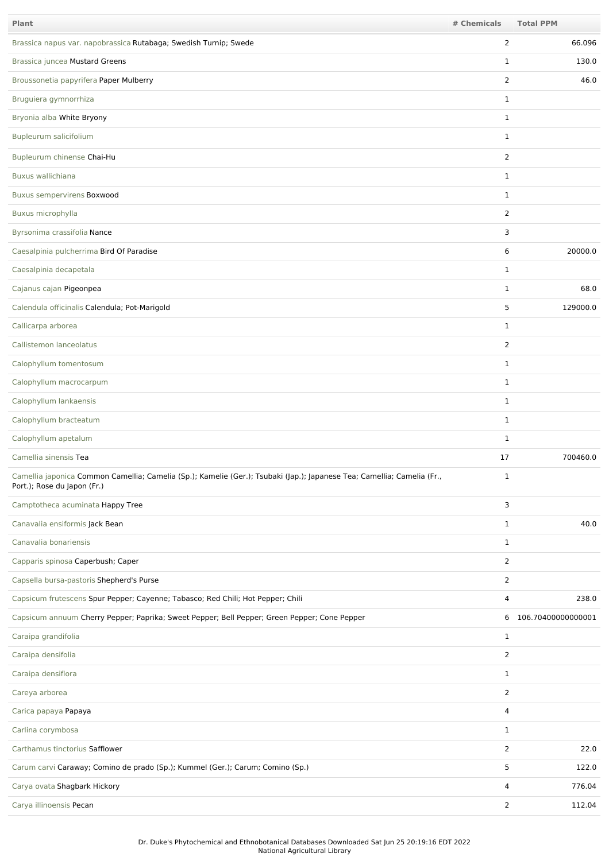| <b>Plant</b>                                                                                                                                           | # Chemicals    | <b>Total PPM</b>     |
|--------------------------------------------------------------------------------------------------------------------------------------------------------|----------------|----------------------|
| Brassica napus var. napobrassica Rutabaga; Swedish Turnip; Swede                                                                                       | $\overline{2}$ | 66.096               |
| Brassica juncea Mustard Greens                                                                                                                         | 1              | 130.0                |
| Broussonetia papyrifera Paper Mulberry                                                                                                                 | $\overline{2}$ | 46.0                 |
| Bruguiera gymnorrhiza                                                                                                                                  | $\mathbf{1}$   |                      |
| Bryonia alba White Bryony                                                                                                                              | $\mathbf{1}$   |                      |
| Bupleurum salicifolium                                                                                                                                 | $\mathbf{1}$   |                      |
| Bupleurum chinense Chai-Hu                                                                                                                             | 2              |                      |
| Buxus wallichiana                                                                                                                                      | $\mathbf{1}$   |                      |
| <b>Buxus sempervirens Boxwood</b>                                                                                                                      | $\mathbf{1}$   |                      |
| Buxus microphylla                                                                                                                                      | $\overline{2}$ |                      |
| Byrsonima crassifolia Nance                                                                                                                            | 3              |                      |
| Caesalpinia pulcherrima Bird Of Paradise                                                                                                               | 6              | 20000.0              |
| Caesalpinia decapetala                                                                                                                                 | 1              |                      |
| Cajanus cajan Pigeonpea                                                                                                                                | $\mathbf{1}$   | 68.0                 |
| Calendula officinalis Calendula; Pot-Marigold                                                                                                          | 5              | 129000.0             |
| Callicarpa arborea                                                                                                                                     | $\mathbf{1}$   |                      |
| Callistemon lanceolatus                                                                                                                                | $\overline{2}$ |                      |
| Calophyllum tomentosum                                                                                                                                 | $\mathbf{1}$   |                      |
| Calophyllum macrocarpum                                                                                                                                | $\mathbf{1}$   |                      |
| Calophyllum lankaensis                                                                                                                                 | $\mathbf{1}$   |                      |
| Calophyllum bracteatum                                                                                                                                 | $\mathbf{1}$   |                      |
| Calophyllum apetalum                                                                                                                                   | $\mathbf{1}$   |                      |
| Camellia sinensis Tea                                                                                                                                  | 17             | 700460.0             |
| Camellia japonica Common Camellia; Camelia (Sp.); Kamelie (Ger.); Tsubaki (Jap.); Japanese Tea; Camellia; Camelia (Fr.,<br>Port.); Rose du Japon (Fr.) | 1              |                      |
| Camptotheca acuminata Happy Tree                                                                                                                       | 3              |                      |
| Canavalia ensiformis Jack Bean                                                                                                                         | $\mathbf{1}$   | 40.0                 |
| Canavalia bonariensis                                                                                                                                  | $\mathbf{1}$   |                      |
| Capparis spinosa Caperbush; Caper                                                                                                                      | $\overline{2}$ |                      |
| Capsella bursa-pastoris Shepherd's Purse                                                                                                               | $\overline{2}$ |                      |
| Capsicum frutescens Spur Pepper; Cayenne; Tabasco; Red Chili; Hot Pepper; Chili                                                                        | 4              | 238.0                |
| Capsicum annuum Cherry Pepper; Paprika; Sweet Pepper; Bell Pepper; Green Pepper; Cone Pepper                                                           |                | 6 106.70400000000001 |
| Caraipa grandifolia                                                                                                                                    | $\mathbf{1}$   |                      |
| Caraipa densifolia                                                                                                                                     | $\overline{2}$ |                      |
| Caraipa densiflora                                                                                                                                     | $\mathbf{1}$   |                      |
| Careya arborea                                                                                                                                         | $\overline{2}$ |                      |
| Carica papaya Papaya                                                                                                                                   | 4              |                      |
| Carlina corymbosa                                                                                                                                      | $\mathbf{1}$   |                      |
| Carthamus tinctorius Safflower                                                                                                                         | $\overline{2}$ | 22.0                 |
| Carum carvi Caraway; Comino de prado (Sp.); Kummel (Ger.); Carum; Comino (Sp.)                                                                         | 5              | 122.0                |
| Carya ovata Shagbark Hickory                                                                                                                           | 4              | 776.04               |
| Carya illinoensis Pecan                                                                                                                                | $\overline{2}$ | 112.04               |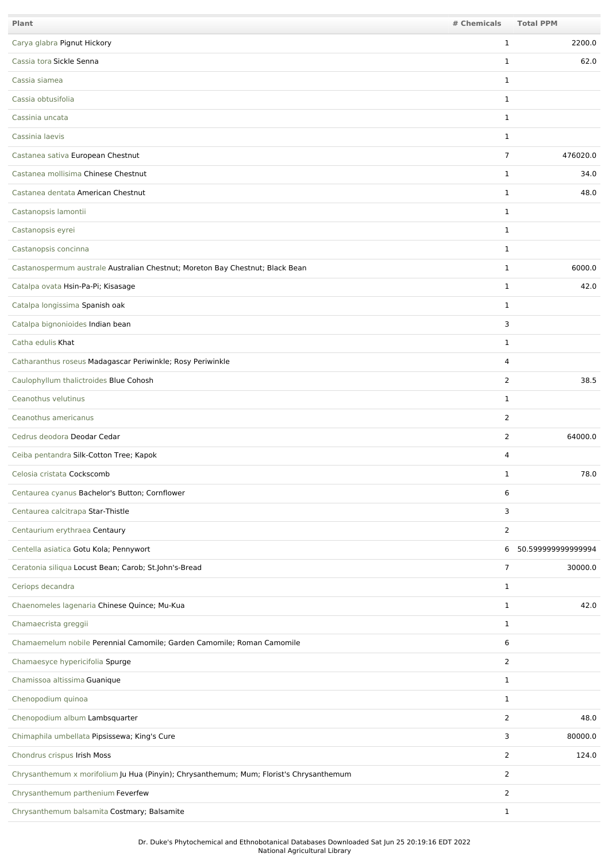| Plant                                                                                   | # Chemicals    | <b>Total PPM</b>    |
|-----------------------------------------------------------------------------------------|----------------|---------------------|
| Carya glabra Pignut Hickory                                                             | $\mathbf{1}$   | 2200.0              |
| Cassia tora Sickle Senna                                                                | $\mathbf{1}$   | 62.0                |
| Cassia siamea                                                                           | $\mathbf{1}$   |                     |
| Cassia obtusifolia                                                                      | $\mathbf{1}$   |                     |
| Cassinia uncata                                                                         | $\mathbf{1}$   |                     |
| Cassinia laevis                                                                         | $\mathbf{1}$   |                     |
| Castanea sativa European Chestnut                                                       | 7              | 476020.0            |
| Castanea mollisima Chinese Chestnut                                                     | $\mathbf{1}$   | 34.0                |
| Castanea dentata American Chestnut                                                      | $\mathbf{1}$   | 48.0                |
| Castanopsis lamontii                                                                    | $\mathbf{1}$   |                     |
| Castanopsis eyrei                                                                       | $\mathbf{1}$   |                     |
| Castanopsis concinna                                                                    | $\mathbf{1}$   |                     |
| Castanospermum australe Australian Chestnut; Moreton Bay Chestnut; Black Bean           | 1              | 6000.0              |
| Catalpa ovata Hsin-Pa-Pi; Kisasage                                                      | $\mathbf{1}$   | 42.0                |
| Catalpa longissima Spanish oak                                                          | $\mathbf{1}$   |                     |
| Catalpa bignonioides Indian bean                                                        | 3              |                     |
| Catha edulis Khat                                                                       | $\mathbf{1}$   |                     |
| Catharanthus roseus Madagascar Periwinkle; Rosy Periwinkle                              | 4              |                     |
| Caulophyllum thalictroides Blue Cohosh                                                  | 2              | 38.5                |
| Ceanothus velutinus                                                                     | $\mathbf{1}$   |                     |
| Ceanothus americanus                                                                    | 2              |                     |
| Cedrus deodora Deodar Cedar                                                             | $\overline{2}$ | 64000.0             |
| Ceiba pentandra Silk-Cotton Tree; Kapok                                                 | 4              |                     |
| Celosia cristata Cockscomb                                                              | 1              | 78.0                |
| Centaurea cyanus Bachelor's Button; Cornflower                                          | 6              |                     |
| Centaurea calcitrapa Star-Thistle                                                       | 3              |                     |
| Centaurium erythraea Centaury                                                           | $\overline{2}$ |                     |
| Centella asiatica Gotu Kola; Pennywort                                                  |                | 6 50.59999999999994 |
| Ceratonia siliqua Locust Bean; Carob; St.John's-Bread                                   | $\overline{7}$ | 30000.0             |
| Ceriops decandra                                                                        | $\mathbf{1}$   |                     |
| Chaenomeles lagenaria Chinese Quince; Mu-Kua                                            | $\mathbf{1}$   | 42.0                |
| Chamaecrista greggii                                                                    | $\mathbf{1}$   |                     |
| Chamaemelum nobile Perennial Camomile; Garden Camomile; Roman Camomile                  | 6              |                     |
| Chamaesyce hypericifolia Spurge                                                         | $\overline{2}$ |                     |
| Chamissoa altissima Guanique                                                            | $\mathbf{1}$   |                     |
| Chenopodium quinoa                                                                      | $\mathbf{1}$   |                     |
| Chenopodium album Lambsquarter                                                          | $\overline{2}$ | 48.0                |
| Chimaphila umbellata Pipsissewa; King's Cure                                            | 3              | 80000.0             |
| Chondrus crispus Irish Moss                                                             | 2              | 124.0               |
| Chrysanthemum x morifolium Ju Hua (Pinyin); Chrysanthemum; Mum; Florist's Chrysanthemum | $\overline{2}$ |                     |
| Chrysanthemum parthenium Feverfew                                                       | 2              |                     |
| Chrysanthemum balsamita Costmary; Balsamite                                             | $\mathbf{1}$   |                     |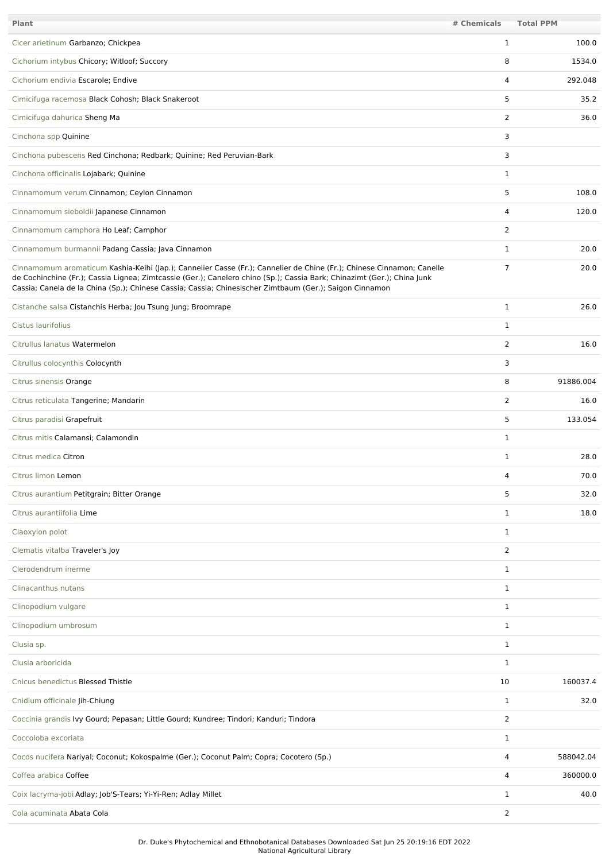| <b>Plant</b>                                                                                                                                                                                                                                                                                                                                                | # Chemicals    | <b>Total PPM</b> |
|-------------------------------------------------------------------------------------------------------------------------------------------------------------------------------------------------------------------------------------------------------------------------------------------------------------------------------------------------------------|----------------|------------------|
| Cicer arietinum Garbanzo; Chickpea                                                                                                                                                                                                                                                                                                                          | $\mathbf{1}$   | 100.0            |
| Cichorium intybus Chicory; Witloof; Succory                                                                                                                                                                                                                                                                                                                 | 8              | 1534.0           |
| Cichorium endivia Escarole; Endive                                                                                                                                                                                                                                                                                                                          | 4              | 292.048          |
| Cimicifuga racemosa Black Cohosh; Black Snakeroot                                                                                                                                                                                                                                                                                                           | 5              | 35.2             |
| Cimicifuga dahurica Sheng Ma                                                                                                                                                                                                                                                                                                                                | 2              | 36.0             |
| Cinchona spp Quinine                                                                                                                                                                                                                                                                                                                                        | 3              |                  |
| Cinchona pubescens Red Cinchona; Redbark; Quinine; Red Peruvian-Bark                                                                                                                                                                                                                                                                                        | 3              |                  |
| Cinchona officinalis Lojabark; Quinine                                                                                                                                                                                                                                                                                                                      | $\mathbf{1}$   |                  |
| Cinnamomum verum Cinnamon; Ceylon Cinnamon                                                                                                                                                                                                                                                                                                                  | 5              | 108.0            |
| Cinnamomum sieboldii Japanese Cinnamon                                                                                                                                                                                                                                                                                                                      | 4              | 120.0            |
| Cinnamomum camphora Ho Leaf; Camphor                                                                                                                                                                                                                                                                                                                        | $\overline{2}$ |                  |
| Cinnamomum burmannii Padang Cassia; Java Cinnamon                                                                                                                                                                                                                                                                                                           | $\mathbf{1}$   | 20.0             |
| Cinnamomum aromaticum Kashia-Keihi (Jap.); Cannelier Casse (Fr.); Cannelier de Chine (Fr.); Chinese Cinnamon; Canelle<br>de Cochinchine (Fr.); Cassia Lignea; Zimtcassie (Ger.); Canelero chino (Sp.); Cassia Bark; Chinazimt (Ger.); China Junk<br>Cassia; Canela de la China (Sp.); Chinese Cassia; Cassia; Chinesischer Zimtbaum (Ger.); Saigon Cinnamon | $\overline{7}$ | 20.0             |
| Cistanche salsa Cistanchis Herba; Jou Tsung Jung; Broomrape                                                                                                                                                                                                                                                                                                 | $\mathbf{1}$   | 26.0             |
| Cistus laurifolius                                                                                                                                                                                                                                                                                                                                          | $\mathbf{1}$   |                  |
| Citrullus lanatus Watermelon                                                                                                                                                                                                                                                                                                                                | $\overline{2}$ | 16.0             |
| Citrullus colocynthis Colocynth                                                                                                                                                                                                                                                                                                                             | 3              |                  |
| Citrus sinensis Orange                                                                                                                                                                                                                                                                                                                                      | 8              | 91886.004        |
| Citrus reticulata Tangerine; Mandarin                                                                                                                                                                                                                                                                                                                       | 2              | 16.0             |
| Citrus paradisi Grapefruit                                                                                                                                                                                                                                                                                                                                  | 5              | 133.054          |
| Citrus mitis Calamansi; Calamondin                                                                                                                                                                                                                                                                                                                          | $\mathbf{1}$   |                  |
| Citrus medica Citron                                                                                                                                                                                                                                                                                                                                        | $\mathbf{1}$   | 28.0             |
| Citrus limon Lemon                                                                                                                                                                                                                                                                                                                                          | 4              | 70.0             |
| Citrus aurantium Petitgrain; Bitter Orange                                                                                                                                                                                                                                                                                                                  | 5              | 32.0             |
| Citrus aurantiifolia Lime                                                                                                                                                                                                                                                                                                                                   | $\mathbf{1}$   | 18.0             |
| Claoxylon polot                                                                                                                                                                                                                                                                                                                                             | $\mathbf{1}$   |                  |
| Clematis vitalba Traveler's Joy                                                                                                                                                                                                                                                                                                                             | 2              |                  |
| Clerodendrum inerme                                                                                                                                                                                                                                                                                                                                         | $\mathbf{1}$   |                  |
| Clinacanthus nutans                                                                                                                                                                                                                                                                                                                                         | $\mathbf{1}$   |                  |
| Clinopodium vulgare                                                                                                                                                                                                                                                                                                                                         | $\mathbf{1}$   |                  |
| Clinopodium umbrosum                                                                                                                                                                                                                                                                                                                                        | $\mathbf{1}$   |                  |
| Clusia sp.                                                                                                                                                                                                                                                                                                                                                  | 1              |                  |
| Clusia arboricida                                                                                                                                                                                                                                                                                                                                           | $\mathbf{1}$   |                  |
| Cnicus benedictus Blessed Thistle                                                                                                                                                                                                                                                                                                                           | 10             | 160037.4         |
| Cnidium officinale Jih-Chiung                                                                                                                                                                                                                                                                                                                               | $\mathbf{1}$   | 32.0             |
| Coccinia grandis Ivy Gourd; Pepasan; Little Gourd; Kundree; Tindori; Kanduri; Tindora                                                                                                                                                                                                                                                                       | 2              |                  |
| Coccoloba excoriata                                                                                                                                                                                                                                                                                                                                         | $\mathbf{1}$   |                  |
| Cocos nucifera Nariyal; Coconut; Kokospalme (Ger.); Coconut Palm; Copra; Cocotero (Sp.)                                                                                                                                                                                                                                                                     | 4              | 588042.04        |
| Coffea arabica Coffee                                                                                                                                                                                                                                                                                                                                       | 4              | 360000.0         |
| Coix lacryma-jobi Adlay; Job'S-Tears; Yi-Yi-Ren; Adlay Millet                                                                                                                                                                                                                                                                                               | $\mathbf{1}$   | 40.0             |
| Cola acuminata Abata Cola                                                                                                                                                                                                                                                                                                                                   | 2              |                  |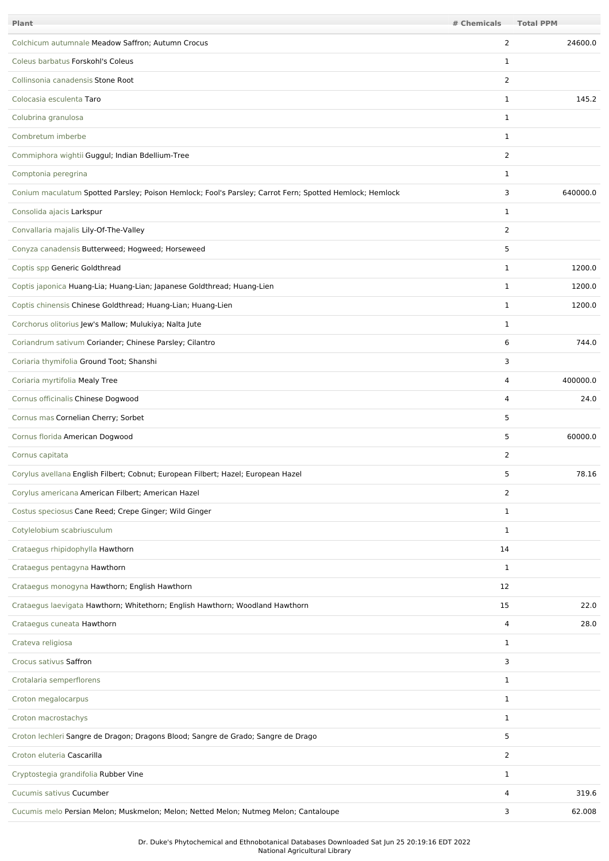| Plant                                                                                                   | # Chemicals    | <b>Total PPM</b> |
|---------------------------------------------------------------------------------------------------------|----------------|------------------|
| Colchicum autumnale Meadow Saffron; Autumn Crocus                                                       | 2              | 24600.0          |
| Coleus barbatus Forskohl's Coleus                                                                       | 1              |                  |
| Collinsonia canadensis Stone Root                                                                       | 2              |                  |
| Colocasia esculenta Taro                                                                                | 1              | 145.2            |
| Colubrina granulosa                                                                                     | $\mathbf{1}$   |                  |
| Combretum imberbe                                                                                       | $\mathbf{1}$   |                  |
| Commiphora wightii Guggul; Indian Bdellium-Tree                                                         | $\overline{2}$ |                  |
| Comptonia peregrina                                                                                     | 1              |                  |
| Conium maculatum Spotted Parsley; Poison Hemlock; Fool's Parsley; Carrot Fern; Spotted Hemlock; Hemlock | 3              | 640000.0         |
| Consolida ajacis Larkspur                                                                               | 1              |                  |
| Convallaria majalis Lily-Of-The-Valley                                                                  | 2              |                  |
| Conyza canadensis Butterweed; Hogweed; Horseweed                                                        | 5              |                  |
| Coptis spp Generic Goldthread                                                                           | 1              | 1200.0           |
| Coptis japonica Huang-Lia; Huang-Lian; Japanese Goldthread; Huang-Lien                                  | 1              | 1200.0           |
| Coptis chinensis Chinese Goldthread; Huang-Lian; Huang-Lien                                             | 1              | 1200.0           |
| Corchorus olitorius Jew's Mallow; Mulukiya; Nalta Jute                                                  | $\mathbf{1}$   |                  |
| Coriandrum sativum Coriander; Chinese Parsley; Cilantro                                                 | 6              | 744.0            |
| Coriaria thymifolia Ground Toot; Shanshi                                                                | 3              |                  |
| Coriaria myrtifolia Mealy Tree                                                                          | 4              | 400000.0         |
| Cornus officinalis Chinese Dogwood                                                                      | 4              | 24.0             |
| Cornus mas Cornelian Cherry; Sorbet                                                                     | 5              |                  |
| Cornus florida American Dogwood                                                                         | 5              | 60000.0          |
| Cornus capitata                                                                                         | 2              |                  |
| Corylus avellana English Filbert; Cobnut; European Filbert; Hazel; European Hazel                       | 5              | 78.16            |
| Corylus americana American Filbert; American Hazel                                                      | $\overline{2}$ |                  |
| Costus speciosus Cane Reed; Crepe Ginger; Wild Ginger                                                   | $\mathbf{1}$   |                  |
| Cotylelobium scabriusculum                                                                              | 1              |                  |
| Crataegus rhipidophylla Hawthorn                                                                        | 14             |                  |
| Crataegus pentagyna Hawthorn                                                                            | $\mathbf{1}$   |                  |
| Crataegus monogyna Hawthorn; English Hawthorn                                                           | 12             |                  |
| Crataegus laevigata Hawthorn; Whitethorn; English Hawthorn; Woodland Hawthorn                           | 15             | 22.0             |
| Crataegus cuneata Hawthorn                                                                              | 4              | 28.0             |
| Crateva religiosa                                                                                       | $\mathbf{1}$   |                  |
| Crocus sativus Saffron                                                                                  | 3              |                  |
| Crotalaria semperflorens                                                                                | $\mathbf{1}$   |                  |
| Croton megalocarpus                                                                                     | $\mathbf{1}$   |                  |
| Croton macrostachys                                                                                     | $\mathbf{1}$   |                  |
| Croton lechleri Sangre de Dragon; Dragons Blood; Sangre de Grado; Sangre de Drago                       | 5              |                  |
| Croton eluteria Cascarilla                                                                              | $\overline{2}$ |                  |
| Cryptostegia grandifolia Rubber Vine                                                                    | $\mathbf{1}$   |                  |
| Cucumis sativus Cucumber                                                                                | 4              | 319.6            |
| Cucumis melo Persian Melon; Muskmelon; Melon; Netted Melon; Nutmeg Melon; Cantaloupe                    | 3              | 62.008           |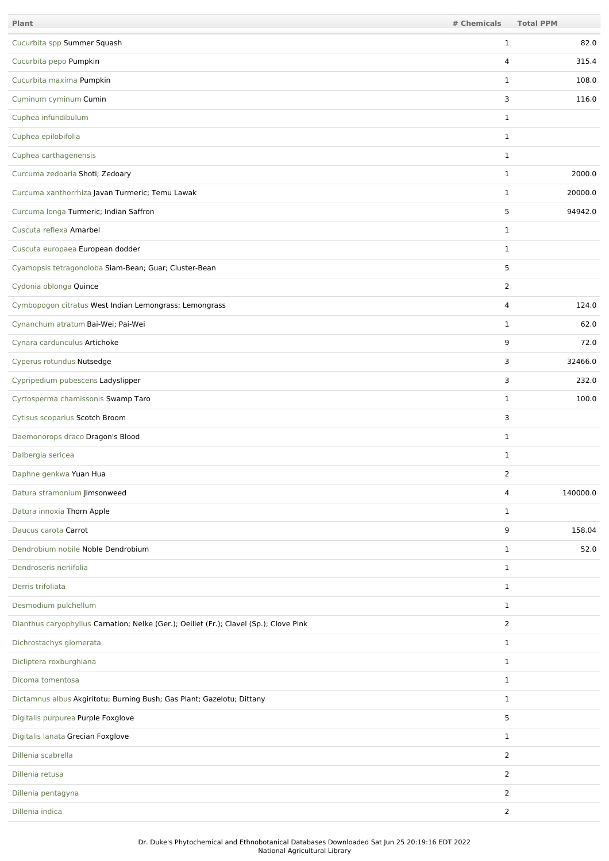| <b>Plant</b>                                                                           | # Chemicals    | <b>Total PPM</b> |
|----------------------------------------------------------------------------------------|----------------|------------------|
| Cucurbita spp Summer Squash                                                            | $\mathbf{1}$   | 82.0             |
| Cucurbita pepo Pumpkin                                                                 | 4              | 315.4            |
| Cucurbita maxima Pumpkin                                                               | $\mathbf{1}$   | 108.0            |
| Cuminum cyminum Cumin                                                                  | 3              | 116.0            |
| Cuphea infundibulum                                                                    | $\mathbf{1}$   |                  |
| Cuphea epilobifolia                                                                    | $\mathbf{1}$   |                  |
| Cuphea carthagenensis                                                                  | $\mathbf{1}$   |                  |
| Curcuma zedoaria Shoti; Zedoary                                                        | $\mathbf{1}$   | 2000.0           |
| Curcuma xanthorrhiza Javan Turmeric; Temu Lawak                                        | $\mathbf{1}$   | 20000.0          |
| Curcuma longa Turmeric; Indian Saffron                                                 | 5              | 94942.0          |
| Cuscuta reflexa Amarbel                                                                | $\mathbf{1}$   |                  |
| Cuscuta europaea European dodder                                                       | $\mathbf{1}$   |                  |
| Cyamopsis tetragonoloba Siam-Bean; Guar; Cluster-Bean                                  | 5              |                  |
| Cydonia oblonga Quince                                                                 | $\overline{2}$ |                  |
| Cymbopogon citratus West Indian Lemongrass; Lemongrass                                 | 4              | 124.0            |
| Cynanchum atratum Bai-Wei; Pai-Wei                                                     | $\mathbf{1}$   | 62.0             |
| Cynara cardunculus Artichoke                                                           | 9              | 72.0             |
| Cyperus rotundus Nutsedge                                                              | 3              | 32466.0          |
| Cypripedium pubescens Ladyslipper                                                      | 3              | 232.0            |
| Cyrtosperma chamissonis Swamp Taro                                                     | $\mathbf{1}$   | 100.0            |
| Cytisus scoparius Scotch Broom                                                         | 3              |                  |
| Daemonorops draco Dragon's Blood                                                       | $\mathbf{1}$   |                  |
| Dalbergia sericea                                                                      | $\mathbf{1}$   |                  |
| Daphne genkwa Yuan Hua                                                                 | 2              |                  |
| Datura stramonium Jimsonweed                                                           | 4              | 140000.0         |
| Datura innoxia Thorn Apple                                                             | $\mathbf{1}$   |                  |
| Daucus carota Carrot                                                                   | 9              | 158.04           |
| Dendrobium nobile Noble Dendrobium                                                     | $\mathbf{1}$   | 52.0             |
| Dendroseris neriifolia                                                                 | $\mathbf{1}$   |                  |
| Derris trifoliata                                                                      | $\mathbf{1}$   |                  |
| Desmodium pulchellum                                                                   | $\mathbf{1}$   |                  |
| Dianthus caryophyllus Carnation; Nelke (Ger.); Oeillet (Fr.); Clavel (Sp.); Clove Pink | $\overline{2}$ |                  |
| Dichrostachys glomerata                                                                | $\mathbf{1}$   |                  |
| Dicliptera roxburghiana                                                                | $\mathbf{1}$   |                  |
| Dicoma tomentosa                                                                       | $\mathbf{1}$   |                  |
| Dictamnus albus Akgiritotu; Burning Bush; Gas Plant; Gazelotu; Dittany                 | $\mathbf{1}$   |                  |
| Digitalis purpurea Purple Foxglove                                                     | 5              |                  |
| Digitalis lanata Grecian Foxglove                                                      | $\mathbf{1}$   |                  |
| Dillenia scabrella                                                                     | $\overline{2}$ |                  |
| Dillenia retusa                                                                        | $\overline{2}$ |                  |
| Dillenia pentagyna                                                                     | 2              |                  |
| Dillenia indica                                                                        | $\overline{2}$ |                  |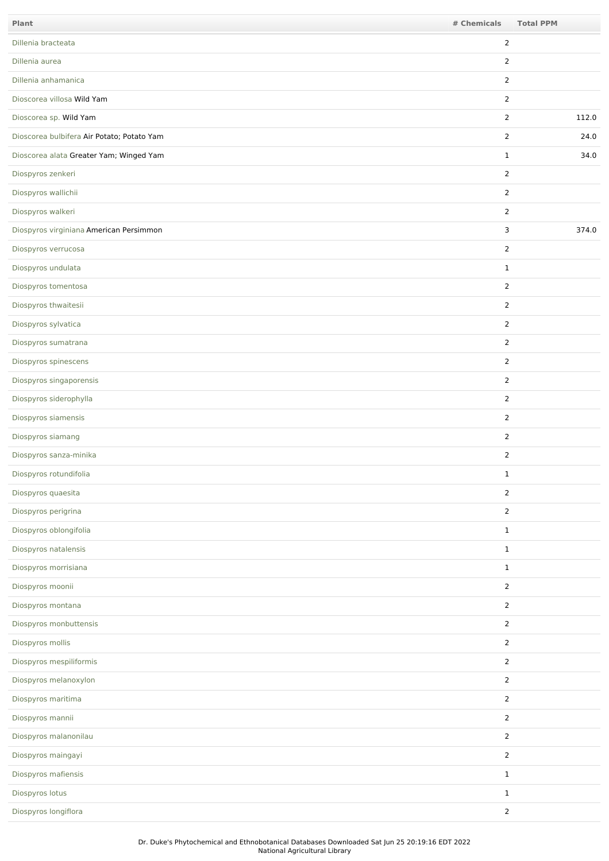| Plant                                      | # Chemicals    | <b>Total PPM</b> |
|--------------------------------------------|----------------|------------------|
| Dillenia bracteata                         | 2              |                  |
| Dillenia aurea                             | 2              |                  |
| Dillenia anhamanica                        | $\overline{2}$ |                  |
| Dioscorea villosa Wild Yam                 | 2              |                  |
| Dioscorea sp. Wild Yam                     | 2              | 112.0            |
| Dioscorea bulbifera Air Potato; Potato Yam | 2              | 24.0             |
| Dioscorea alata Greater Yam; Winged Yam    | $\mathbf{1}$   | 34.0             |
| Diospyros zenkeri                          | 2              |                  |
| Diospyros wallichii                        | 2              |                  |
| Diospyros walkeri                          | $\overline{2}$ |                  |
| Diospyros virginiana American Persimmon    | 3              | 374.0            |
| Diospyros verrucosa                        | 2              |                  |
| Diospyros undulata                         | $\mathbf{1}$   |                  |
| Diospyros tomentosa                        | 2              |                  |
| Diospyros thwaitesii                       | 2              |                  |
| Diospyros sylvatica                        | 2              |                  |
| Diospyros sumatrana                        | 2              |                  |
| Diospyros spinescens                       | $\overline{2}$ |                  |
| Diospyros singaporensis                    | $\overline{2}$ |                  |
| Diospyros siderophylla                     | 2              |                  |
| Diospyros siamensis                        | 2              |                  |
| Diospyros siamang                          | 2              |                  |
| Diospyros sanza-minika                     | 2              |                  |
| Diospyros rotundifolia                     | $\mathbf 1$    |                  |
| Diospyros quaesita                         | $\overline{2}$ |                  |
| Diospyros perigrina                        | $\overline{2}$ |                  |
| Diospyros oblongifolia                     | $\mathbf{1}$   |                  |
| Diospyros natalensis                       | $\mathbf 1$    |                  |
| Diospyros morrisiana                       | $\mathbf{1}$   |                  |
| Diospyros moonii                           | $\overline{2}$ |                  |
| Diospyros montana                          | $\overline{2}$ |                  |
| Diospyros monbuttensis                     | $\overline{2}$ |                  |
| Diospyros mollis                           | $\overline{2}$ |                  |
| Diospyros mespiliformis                    | $\overline{2}$ |                  |
| Diospyros melanoxylon                      | $\overline{2}$ |                  |
| Diospyros maritima                         | $\overline{2}$ |                  |
| Diospyros mannii                           | $\overline{2}$ |                  |
| Diospyros malanonilau                      | $\overline{2}$ |                  |
| Diospyros maingayi                         | $\overline{2}$ |                  |
| Diospyros mafiensis                        | $\mathbf{1}$   |                  |
| Diospyros lotus                            | $\mathbf{1}$   |                  |
| Diospyros longiflora                       | $\overline{2}$ |                  |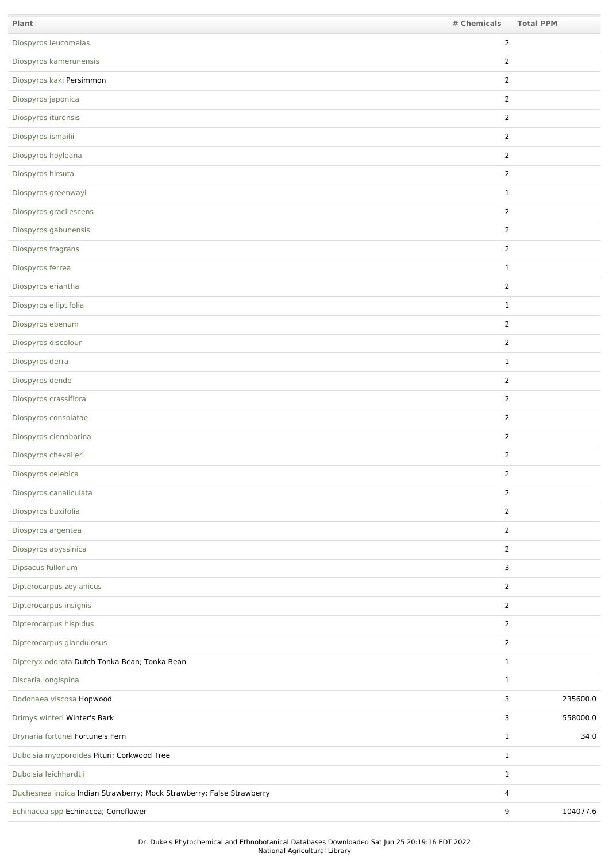| Plant                                                                 | # Chemicals    | <b>Total PPM</b> |
|-----------------------------------------------------------------------|----------------|------------------|
| Diospyros leucomelas                                                  | 2              |                  |
| Diospyros kamerunensis                                                | $\overline{2}$ |                  |
| Diospyros kaki Persimmon                                              | $\overline{2}$ |                  |
| Diospyros japonica                                                    | $\overline{2}$ |                  |
| Diospyros iturensis                                                   | $\overline{2}$ |                  |
| Diospyros ismailii                                                    | $\overline{2}$ |                  |
| Diospyros hoyleana                                                    | $\overline{2}$ |                  |
| Diospyros hirsuta                                                     | $\overline{2}$ |                  |
| Diospyros greenwayi                                                   | $\mathbf{1}$   |                  |
| Diospyros gracilescens                                                | $\overline{2}$ |                  |
| Diospyros gabunensis                                                  | $\overline{2}$ |                  |
| Diospyros fragrans                                                    | $\overline{2}$ |                  |
| Diospyros ferrea                                                      | $\mathbf{1}$   |                  |
| Diospyros eriantha                                                    | $\overline{2}$ |                  |
| Diospyros elliptifolia                                                | $\mathbf{1}$   |                  |
| Diospyros ebenum                                                      | $\overline{2}$ |                  |
| Diospyros discolour                                                   | $\overline{2}$ |                  |
| Diospyros derra                                                       | $\mathbf{1}$   |                  |
| Diospyros dendo                                                       | $\overline{2}$ |                  |
| Diospyros crassiflora                                                 | $\overline{2}$ |                  |
| Diospyros consolatae                                                  | $\overline{2}$ |                  |
| Diospyros cinnabarina                                                 | $\overline{2}$ |                  |
| Diospyros chevalieri                                                  | $\overline{2}$ |                  |
| Diospyros celebica                                                    | 2              |                  |
| Diospyros canaliculata                                                | $\mathbf{2}$   |                  |
| Diospyros buxifolia                                                   | $\overline{2}$ |                  |
| Diospyros argentea                                                    | $\overline{2}$ |                  |
| Diospyros abyssinica                                                  | $\overline{2}$ |                  |
| Dipsacus fullonum                                                     | 3              |                  |
| Dipterocarpus zeylanicus                                              | $\overline{2}$ |                  |
| Dipterocarpus insignis                                                | $\overline{2}$ |                  |
| Dipterocarpus hispidus                                                | $\overline{2}$ |                  |
| Dipterocarpus glandulosus                                             | $\overline{2}$ |                  |
| Dipteryx odorata Dutch Tonka Bean; Tonka Bean                         | $\mathbf{1}$   |                  |
| Discaria longispina                                                   | $\mathbf{1}$   |                  |
| Dodonaea viscosa Hopwood                                              | 3              | 235600.0         |
| Drimys winteri Winter's Bark                                          | 3              | 558000.0         |
| Drynaria fortunei Fortune's Fern                                      | $\mathbf{1}$   | 34.0             |
| Duboisia myoporoides Pituri; Corkwood Tree                            | $\mathbf{1}$   |                  |
| Duboisia leichhardtii                                                 | $\mathbf{1}$   |                  |
| Duchesnea indica Indian Strawberry; Mock Strawberry; False Strawberry | 4              |                  |
| Echinacea spp Echinacea; Coneflower                                   | 9              | 104077.6         |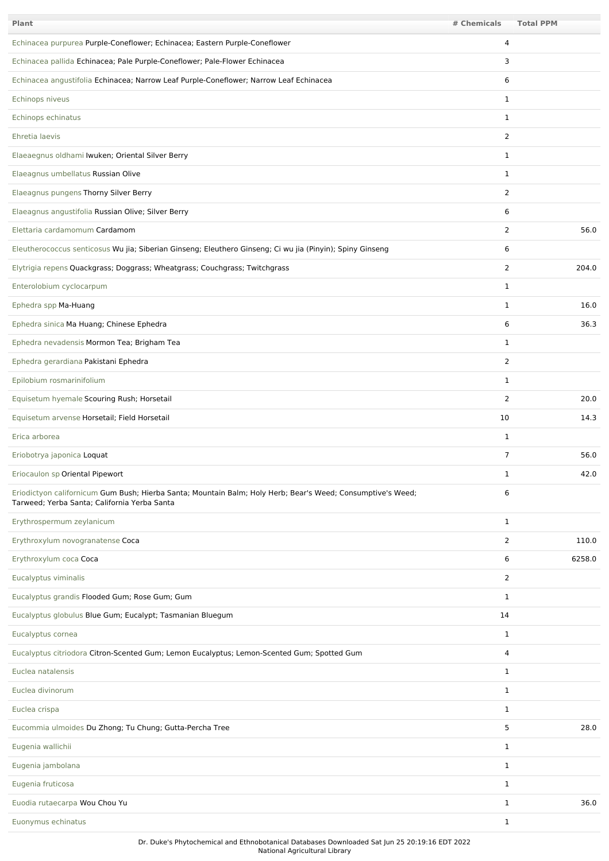| <b>Plant</b>                                                                                                                                                | # Chemicals    | <b>Total PPM</b> |
|-------------------------------------------------------------------------------------------------------------------------------------------------------------|----------------|------------------|
| Echinacea purpurea Purple-Coneflower; Echinacea; Eastern Purple-Coneflower                                                                                  | 4              |                  |
| Echinacea pallida Echinacea; Pale Purple-Coneflower; Pale-Flower Echinacea                                                                                  | 3              |                  |
| Echinacea angustifolia Echinacea; Narrow Leaf Purple-Coneflower; Narrow Leaf Echinacea                                                                      | 6              |                  |
| Echinops niveus                                                                                                                                             | 1              |                  |
| Echinops echinatus                                                                                                                                          | 1              |                  |
| Ehretia laevis                                                                                                                                              | 2              |                  |
| Elaeaegnus oldhami Iwuken; Oriental Silver Berry                                                                                                            | $\mathbf{1}$   |                  |
| Elaeagnus umbellatus Russian Olive                                                                                                                          | $\mathbf{1}$   |                  |
| Elaeagnus pungens Thorny Silver Berry                                                                                                                       | 2              |                  |
| Elaeagnus angustifolia Russian Olive; Silver Berry                                                                                                          | 6              |                  |
| Elettaria cardamomum Cardamom                                                                                                                               | 2              | 56.0             |
| Eleutherococcus senticosus Wu jia; Siberian Ginseng; Eleuthero Ginseng; Ci wu jia (Pinyin); Spiny Ginseng                                                   | 6              |                  |
| Elytrigia repens Quackgrass; Doggrass; Wheatgrass; Couchgrass; Twitchgrass                                                                                  | 2              | 204.0            |
| Enterolobium cyclocarpum                                                                                                                                    | 1              |                  |
| Ephedra spp Ma-Huang                                                                                                                                        | 1              | 16.0             |
| Ephedra sinica Ma Huang; Chinese Ephedra                                                                                                                    | 6              | 36.3             |
| Ephedra nevadensis Mormon Tea; Brigham Tea                                                                                                                  | 1              |                  |
| Ephedra gerardiana Pakistani Ephedra                                                                                                                        | $\overline{2}$ |                  |
| Epilobium rosmarinifolium                                                                                                                                   | $\mathbf{1}$   |                  |
| Equisetum hyemale Scouring Rush; Horsetail                                                                                                                  | 2              | 20.0             |
| Equisetum arvense Horsetail; Field Horsetail                                                                                                                | 10             | 14.3             |
| Erica arborea                                                                                                                                               | $\mathbf{1}$   |                  |
| Eriobotrya japonica Loquat                                                                                                                                  | $\overline{7}$ | 56.0             |
| Eriocaulon sp Oriental Pipewort                                                                                                                             | 1              | 42.0             |
| Eriodictyon californicum Gum Bush; Hierba Santa; Mountain Balm; Holy Herb; Bear's Weed; Consumptive's Weed;<br>Tarweed; Yerba Santa; California Yerba Santa | 6              |                  |
| Erythrospermum zeylanicum                                                                                                                                   | $\mathbf{1}$   |                  |
| Erythroxylum novogranatense Coca                                                                                                                            | $\overline{2}$ | 110.0            |
| Erythroxylum coca Coca                                                                                                                                      | 6              | 6258.0           |
| Eucalyptus viminalis                                                                                                                                        | $\overline{2}$ |                  |
| Eucalyptus grandis Flooded Gum; Rose Gum; Gum                                                                                                               | $\mathbf{1}$   |                  |
| Eucalyptus globulus Blue Gum; Eucalypt; Tasmanian Bluegum                                                                                                   | 14             |                  |
| Eucalyptus cornea                                                                                                                                           | $\mathbf{1}$   |                  |
| Eucalyptus citriodora Citron-Scented Gum; Lemon Eucalyptus; Lemon-Scented Gum; Spotted Gum                                                                  | 4              |                  |
| Euclea natalensis                                                                                                                                           | $\mathbf{1}$   |                  |
| Euclea divinorum                                                                                                                                            | $\mathbf{1}$   |                  |
| Euclea crispa                                                                                                                                               | $\mathbf{1}$   |                  |
| Eucommia ulmoides Du Zhong; Tu Chung; Gutta-Percha Tree                                                                                                     | 5              | 28.0             |
| Eugenia wallichii                                                                                                                                           | $\mathbf{1}$   |                  |
| Eugenia jambolana                                                                                                                                           | $\mathbf{1}$   |                  |
| Eugenia fruticosa                                                                                                                                           | $\mathbf{1}$   |                  |
| Euodia rutaecarpa Wou Chou Yu                                                                                                                               | 1              | 36.0             |
| Euonymus echinatus                                                                                                                                          | $\mathbf{1}$   |                  |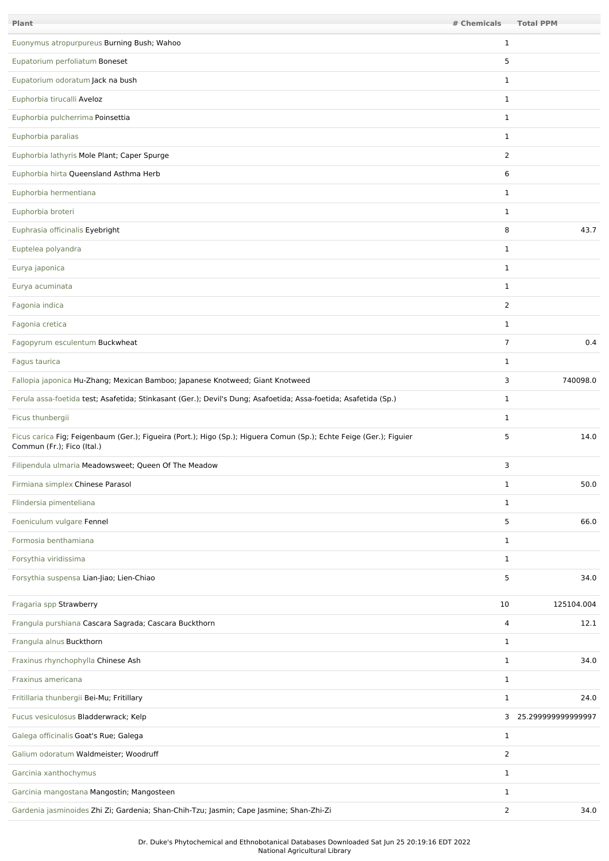| Plant                                                                                                                                             | # Chemicals    | <b>Total PPM</b>     |
|---------------------------------------------------------------------------------------------------------------------------------------------------|----------------|----------------------|
| Euonymus atropurpureus Burning Bush; Wahoo                                                                                                        | $\mathbf{1}$   |                      |
| Eupatorium perfoliatum Boneset                                                                                                                    | 5              |                      |
| Eupatorium odoratum Jack na bush                                                                                                                  | $\mathbf{1}$   |                      |
| Euphorbia tirucalli Aveloz                                                                                                                        | $\mathbf{1}$   |                      |
| Euphorbia pulcherrima Poinsettia                                                                                                                  | $\mathbf{1}$   |                      |
| Euphorbia paralias                                                                                                                                | $\mathbf{1}$   |                      |
| Euphorbia lathyris Mole Plant; Caper Spurge                                                                                                       | $\overline{2}$ |                      |
| Euphorbia hirta Queensland Asthma Herb                                                                                                            | 6              |                      |
| Euphorbia hermentiana                                                                                                                             | $\mathbf{1}$   |                      |
| Euphorbia broteri                                                                                                                                 | $\mathbf{1}$   |                      |
| Euphrasia officinalis Eyebright                                                                                                                   | 8              | 43.7                 |
| Euptelea polyandra                                                                                                                                | $\mathbf{1}$   |                      |
| Eurya japonica                                                                                                                                    | $\mathbf{1}$   |                      |
| Eurya acuminata                                                                                                                                   | $\mathbf{1}$   |                      |
| Fagonia indica                                                                                                                                    | $\overline{2}$ |                      |
| Fagonia cretica                                                                                                                                   | $\mathbf{1}$   |                      |
| Fagopyrum esculentum Buckwheat                                                                                                                    | $\overline{7}$ | 0.4                  |
| Fagus taurica                                                                                                                                     | $\mathbf{1}$   |                      |
| Fallopia japonica Hu-Zhang; Mexican Bamboo; Japanese Knotweed; Giant Knotweed                                                                     | 3              | 740098.0             |
| Ferula assa-foetida test; Asafetida; Stinkasant (Ger.); Devil's Dung; Asafoetida; Assa-foetida; Asafetida (Sp.)                                   | $\mathbf{1}$   |                      |
| Ficus thunbergii                                                                                                                                  | 1              |                      |
| Ficus carica Fig; Feigenbaum (Ger.); Figueira (Port.); Higo (Sp.); Higuera Comun (Sp.); Echte Feige (Ger.); Figuier<br>Commun (Fr.); Fico (Ital.) | 5              | 14.0                 |
| Filipendula ulmaria Meadowsweet; Queen Of The Meadow                                                                                              | 3              |                      |
| Firmiana simplex Chinese Parasol                                                                                                                  | $\mathbf{1}$   | 50.0                 |
| Flindersia pimenteliana                                                                                                                           | $\mathbf{1}$   |                      |
| Foeniculum vulgare Fennel                                                                                                                         | 5              | 66.0                 |
| Formosia benthamiana                                                                                                                              | $\mathbf{1}$   |                      |
| Forsythia viridissima                                                                                                                             | $\mathbf{1}$   |                      |
| Forsythia suspensa Lian-Jiao; Lien-Chiao                                                                                                          | 5              | 34.0                 |
| Fragaria spp Strawberry                                                                                                                           | 10             | 125104.004           |
| Frangula purshiana Cascara Sagrada; Cascara Buckthorn                                                                                             | 4              | 12.1                 |
| Frangula alnus Buckthorn                                                                                                                          | $\mathbf{1}$   |                      |
| Fraxinus rhynchophylla Chinese Ash                                                                                                                | $\mathbf{1}$   | 34.0                 |
| Fraxinus americana                                                                                                                                | $\mathbf{1}$   |                      |
| Fritillaria thunbergii Bei-Mu; Fritillary                                                                                                         | $\mathbf{1}$   | 24.0                 |
| Fucus vesiculosus Bladderwrack; Kelp                                                                                                              |                | 3 25.299999999999997 |
| Galega officinalis Goat's Rue; Galega                                                                                                             | $\mathbf{1}$   |                      |
| Galium odoratum Waldmeister; Woodruff                                                                                                             | 2              |                      |
| Garcinia xanthochymus                                                                                                                             | $\mathbf{1}$   |                      |
| Garcinia mangostana Mangostin; Mangosteen                                                                                                         | $\mathbf{1}$   |                      |
| Gardenia jasminoides Zhi Zi; Gardenia; Shan-Chih-Tzu; Jasmin; Cape Jasmine; Shan-Zhi-Zi                                                           | $\overline{2}$ | 34.0                 |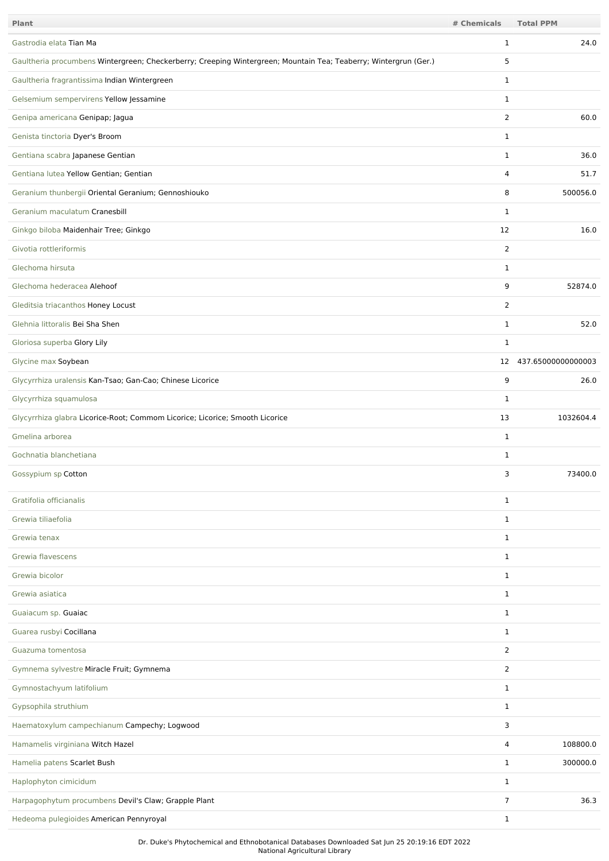| Plant                                                                                                            | # Chemicals    | <b>Total PPM</b>   |
|------------------------------------------------------------------------------------------------------------------|----------------|--------------------|
| Gastrodia elata Tian Ma                                                                                          | $\mathbf{1}$   | 24.0               |
| Gaultheria procumbens Wintergreen; Checkerberry; Creeping Wintergreen; Mountain Tea; Teaberry; Wintergrun (Ger.) | 5              |                    |
| Gaultheria fragrantissima Indian Wintergreen                                                                     | $\mathbf{1}$   |                    |
| Gelsemium sempervirens Yellow Jessamine                                                                          | $\mathbf{1}$   |                    |
| Genipa americana Genipap; Jagua                                                                                  | $\overline{2}$ | 60.0               |
| Genista tinctoria Dyer's Broom                                                                                   | $\mathbf{1}$   |                    |
| Gentiana scabra Japanese Gentian                                                                                 | $\mathbf{1}$   | 36.0               |
| Gentiana lutea Yellow Gentian; Gentian                                                                           | 4              | 51.7               |
| Geranium thunbergii Oriental Geranium; Gennoshiouko                                                              | 8              | 500056.0           |
| Geranium maculatum Cranesbill                                                                                    | $\mathbf{1}$   |                    |
| Ginkgo biloba Maidenhair Tree; Ginkgo                                                                            | 12             | 16.0               |
| Givotia rottleriformis                                                                                           | $\overline{2}$ |                    |
| Glechoma hirsuta                                                                                                 | $\mathbf{1}$   |                    |
| Glechoma hederacea Alehoof                                                                                       | 9              | 52874.0            |
| Gleditsia triacanthos Honey Locust                                                                               | 2              |                    |
| Glehnia littoralis Bei Sha Shen                                                                                  | $\mathbf{1}$   | 52.0               |
| Gloriosa superba Glory Lily                                                                                      | $\mathbf{1}$   |                    |
| Glycine max Soybean                                                                                              | 12             | 437.65000000000003 |
| Glycyrrhiza uralensis Kan-Tsao; Gan-Cao; Chinese Licorice                                                        | 9              | 26.0               |
| Glycyrrhiza squamulosa                                                                                           | $\mathbf{1}$   |                    |
| Glycyrrhiza glabra Licorice-Root; Commom Licorice; Licorice; Smooth Licorice                                     | 13             | 1032604.4          |
| Gmelina arborea                                                                                                  | $\mathbf{1}$   |                    |
| Gochnatia blanchetiana                                                                                           | $\mathbf{1}$   |                    |
| Gossypium sp Cotton                                                                                              | 3              | 73400.0            |
| Gratifolia officianalis                                                                                          | $\mathbf{1}$   |                    |
| Grewia tiliaefolia                                                                                               | $\mathbf{1}$   |                    |
| Grewia tenax                                                                                                     | $\mathbf{1}$   |                    |
| Grewia flavescens                                                                                                | $\mathbf{1}$   |                    |
| Grewia bicolor                                                                                                   | $\mathbf{1}$   |                    |
| Grewia asiatica                                                                                                  | $\mathbf{1}$   |                    |
| Guaiacum sp. Guaiac                                                                                              | $\mathbf{1}$   |                    |
| Guarea rusbyi Cocillana                                                                                          | $\mathbf{1}$   |                    |
| Guazuma tomentosa                                                                                                | 2              |                    |
| Gymnema sylvestre Miracle Fruit; Gymnema                                                                         | $\overline{2}$ |                    |
| Gymnostachyum latifolium                                                                                         | $\mathbf{1}$   |                    |
| Gypsophila struthium                                                                                             | $\mathbf{1}$   |                    |
| Haematoxylum campechianum Campechy; Logwood                                                                      | 3              |                    |
| Hamamelis virginiana Witch Hazel                                                                                 | $\overline{4}$ | 108800.0           |
| Hamelia patens Scarlet Bush                                                                                      | $\mathbf{1}$   | 300000.0           |
| Haplophyton cimicidum                                                                                            | $\mathbf{1}$   |                    |
| Harpagophytum procumbens Devil's Claw; Grapple Plant                                                             | $\overline{7}$ | 36.3               |
| Hedeoma pulegioides American Pennyroyal                                                                          | $\mathbf{1}$   |                    |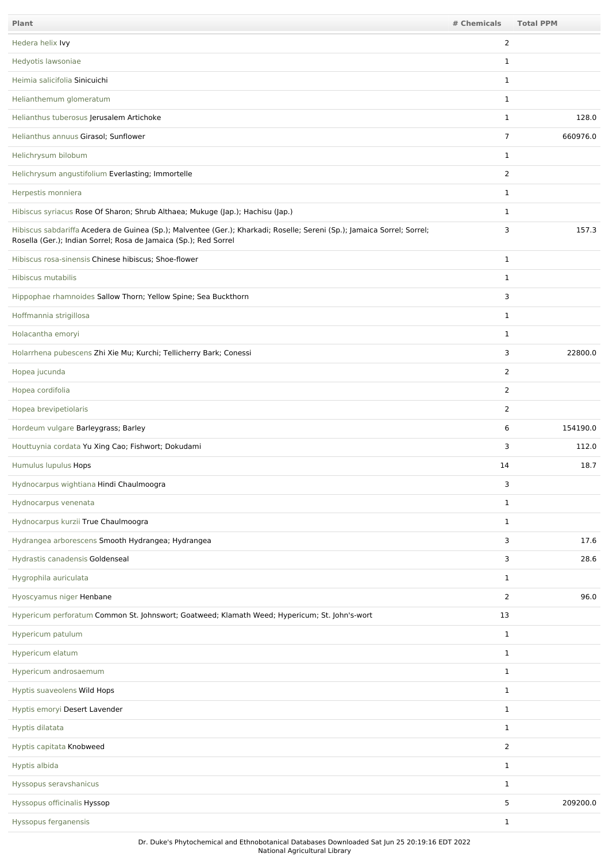| Plant                                                                                                                                                                                       | # Chemicals    | <b>Total PPM</b> |
|---------------------------------------------------------------------------------------------------------------------------------------------------------------------------------------------|----------------|------------------|
| Hedera helix Ivy                                                                                                                                                                            | 2              |                  |
| Hedyotis lawsoniae                                                                                                                                                                          | 1              |                  |
| Heimia salicifolia Sinicuichi                                                                                                                                                               | $\mathbf{1}$   |                  |
| Helianthemum glomeratum                                                                                                                                                                     | $\mathbf{1}$   |                  |
| Helianthus tuberosus Jerusalem Artichoke                                                                                                                                                    | $\mathbf{1}$   | 128.0            |
| Helianthus annuus Girasol; Sunflower                                                                                                                                                        | $\overline{7}$ | 660976.0         |
| Helichrysum bilobum                                                                                                                                                                         | $\mathbf{1}$   |                  |
| Helichrysum angustifolium Everlasting; Immortelle                                                                                                                                           | 2              |                  |
| Herpestis monniera                                                                                                                                                                          | $\mathbf{1}$   |                  |
| Hibiscus syriacus Rose Of Sharon; Shrub Althaea; Mukuge (Jap.); Hachisu (Jap.)                                                                                                              | $\mathbf{1}$   |                  |
| Hibiscus sabdariffa Acedera de Guinea (Sp.); Malventee (Ger.); Kharkadi; Roselle; Sereni (Sp.); Jamaica Sorrel; Sorrel;<br>Rosella (Ger.); Indian Sorrel; Rosa de Jamaica (Sp.); Red Sorrel | 3              | 157.3            |
| Hibiscus rosa-sinensis Chinese hibiscus; Shoe-flower                                                                                                                                        | $\mathbf{1}$   |                  |
| Hibiscus mutabilis                                                                                                                                                                          | $\mathbf{1}$   |                  |
| Hippophae rhamnoides Sallow Thorn; Yellow Spine; Sea Buckthorn                                                                                                                              | 3              |                  |
| Hoffmannia strigillosa                                                                                                                                                                      | $\mathbf{1}$   |                  |
| Holacantha emoryi                                                                                                                                                                           | $\mathbf{1}$   |                  |
| Holarrhena pubescens Zhi Xie Mu; Kurchi; Tellicherry Bark; Conessi                                                                                                                          | 3              | 22800.0          |
| Hopea jucunda                                                                                                                                                                               | $\overline{2}$ |                  |
| Hopea cordifolia                                                                                                                                                                            | $\overline{2}$ |                  |
| Hopea brevipetiolaris                                                                                                                                                                       | 2              |                  |
| Hordeum vulgare Barleygrass; Barley                                                                                                                                                         | 6              | 154190.0         |
| Houttuynia cordata Yu Xing Cao; Fishwort; Dokudami                                                                                                                                          | 3              | 112.0            |
| Humulus lupulus Hops                                                                                                                                                                        | 14             | 18.7             |
| Hydnocarpus wightiana Hindi Chaulmoogra                                                                                                                                                     | 3              |                  |
| Hydnocarpus venenata                                                                                                                                                                        | $\mathbf{1}$   |                  |
| Hydnocarpus kurzii True Chaulmoogra                                                                                                                                                         | $\mathbf{1}$   |                  |
| Hydrangea arborescens Smooth Hydrangea; Hydrangea                                                                                                                                           | 3              | 17.6             |
| Hydrastis canadensis Goldenseal                                                                                                                                                             | 3              | 28.6             |
| Hygrophila auriculata                                                                                                                                                                       | $\mathbf{1}$   |                  |
| Hyoscyamus niger Henbane                                                                                                                                                                    | 2              | 96.0             |
| Hypericum perforatum Common St. Johnswort; Goatweed; Klamath Weed; Hypericum; St. John's-wort                                                                                               | 13             |                  |
| Hypericum patulum                                                                                                                                                                           | $\mathbf{1}$   |                  |
| Hypericum elatum                                                                                                                                                                            | $\mathbf{1}$   |                  |
| Hypericum androsaemum                                                                                                                                                                       | $\mathbf{1}$   |                  |
| Hyptis suaveolens Wild Hops                                                                                                                                                                 | $\mathbf{1}$   |                  |
| Hyptis emoryi Desert Lavender                                                                                                                                                               | $\mathbf{1}$   |                  |
| Hyptis dilatata                                                                                                                                                                             | $\mathbf{1}$   |                  |
| Hyptis capitata Knobweed                                                                                                                                                                    | 2              |                  |
| Hyptis albida                                                                                                                                                                               | $\mathbf{1}$   |                  |
| Hyssopus seravshanicus                                                                                                                                                                      | $\mathbf{1}$   |                  |
| Hyssopus officinalis Hyssop                                                                                                                                                                 | 5              | 209200.0         |
| Hyssopus ferganensis                                                                                                                                                                        | $\mathbf{1}$   |                  |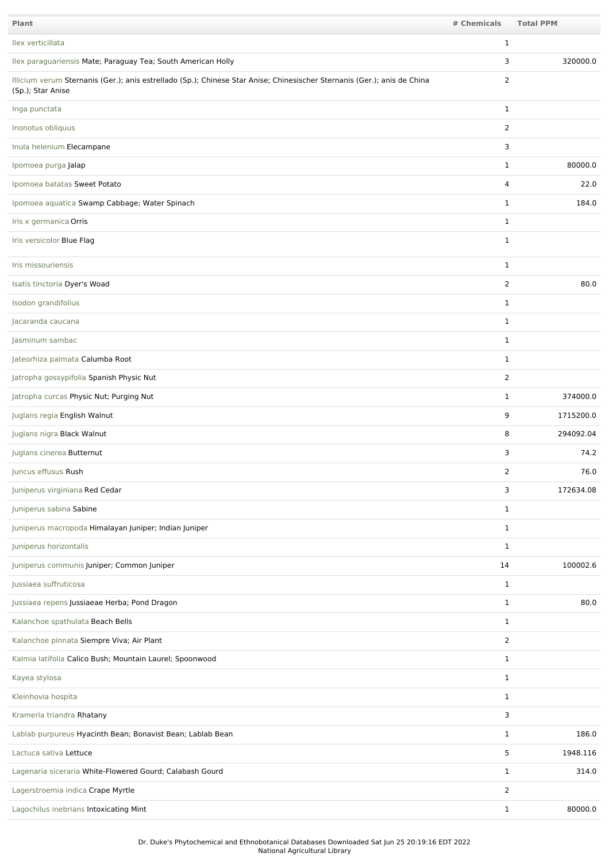| Plant                                                                                                                                         | # Chemicals    | <b>Total PPM</b> |
|-----------------------------------------------------------------------------------------------------------------------------------------------|----------------|------------------|
| Ilex verticillata                                                                                                                             | $\mathbf{1}$   |                  |
| Ilex paraguariensis Mate; Paraguay Tea; South American Holly                                                                                  | 3              | 320000.0         |
| Illicium verum Sternanis (Ger.); anis estrellado (Sp.); Chinese Star Anise; Chinesischer Sternanis (Ger.); anis de China<br>(Sp.); Star Anise | $\overline{2}$ |                  |
| Inga punctata                                                                                                                                 | $\mathbf{1}$   |                  |
| Inonotus obliquus                                                                                                                             | $\overline{2}$ |                  |
| Inula helenium Elecampane                                                                                                                     | 3              |                  |
| Ipomoea purga Jalap                                                                                                                           | $\mathbf{1}$   | 80000.0          |
| Ipomoea batatas Sweet Potato                                                                                                                  | 4              | 22.0             |
| Ipomoea aquatica Swamp Cabbage; Water Spinach                                                                                                 | $\mathbf{1}$   | 184.0            |
| Iris x germanica Orris                                                                                                                        | $\mathbf{1}$   |                  |
| Iris versicolor Blue Flag                                                                                                                     | $\mathbf{1}$   |                  |
| Iris missouriensis                                                                                                                            | $\mathbf{1}$   |                  |
| Isatis tinctoria Dyer's Woad                                                                                                                  | $\overline{2}$ | 80.0             |
| Isodon grandifolius                                                                                                                           | $\mathbf{1}$   |                  |
| Jacaranda caucana                                                                                                                             | $\mathbf{1}$   |                  |
| Jasminum sambac                                                                                                                               | $\mathbf{1}$   |                  |
| Jateorhiza palmata Calumba Root                                                                                                               | $\mathbf{1}$   |                  |
| Jatropha gossypifolia Spanish Physic Nut                                                                                                      | $\overline{2}$ |                  |
| Jatropha curcas Physic Nut; Purging Nut                                                                                                       | $\mathbf{1}$   | 374000.0         |
| Juglans regia English Walnut                                                                                                                  | 9              | 1715200.0        |
| Juglans nigra Black Walnut                                                                                                                    | 8              | 294092.04        |
| Juglans cinerea Butternut                                                                                                                     | 3              | 74.2             |
| Juncus effusus Rush                                                                                                                           | 2              | 76.0             |
| Juniperus virginiana Red Cedar                                                                                                                | 3              | 172634.08        |
| Juniperus sabina Sabine                                                                                                                       | $\mathbf{1}$   |                  |
| Juniperus macropoda Himalayan Juniper; Indian Juniper                                                                                         | $\mathbf{1}$   |                  |
| Juniperus horizontalis                                                                                                                        | $\mathbf{1}$   |                  |
| Juniperus communis Juniper; Common Juniper                                                                                                    | 14             | 100002.6         |
| Jussiaea suffruticosa                                                                                                                         | $\mathbf{1}$   |                  |
| Jussiaea repens Jussiaeae Herba; Pond Dragon                                                                                                  | $\mathbf{1}$   | 80.0             |
| Kalanchoe spathulata Beach Bells                                                                                                              | $\mathbf{1}$   |                  |
| Kalanchoe pinnata Siempre Viva; Air Plant                                                                                                     | $\overline{2}$ |                  |
| Kalmia latifolia Calico Bush; Mountain Laurel; Spoonwood                                                                                      | $\mathbf{1}$   |                  |
| Kayea stylosa                                                                                                                                 | $\mathbf{1}$   |                  |
| Kleinhovia hospita                                                                                                                            | $\mathbf{1}$   |                  |
| Krameria triandra Rhatany                                                                                                                     | 3              |                  |
| Lablab purpureus Hyacinth Bean; Bonavist Bean; Lablab Bean                                                                                    | $\mathbf{1}$   | 186.0            |
| Lactuca sativa Lettuce                                                                                                                        | 5              | 1948.116         |
| Lagenaria siceraria White-Flowered Gourd; Calabash Gourd                                                                                      | $\mathbf{1}$   | 314.0            |
| Lagerstroemia indica Crape Myrtle                                                                                                             | $\overline{2}$ |                  |
| Lagochilus inebrians Intoxicating Mint                                                                                                        | $\mathbf{1}$   | 80000.0          |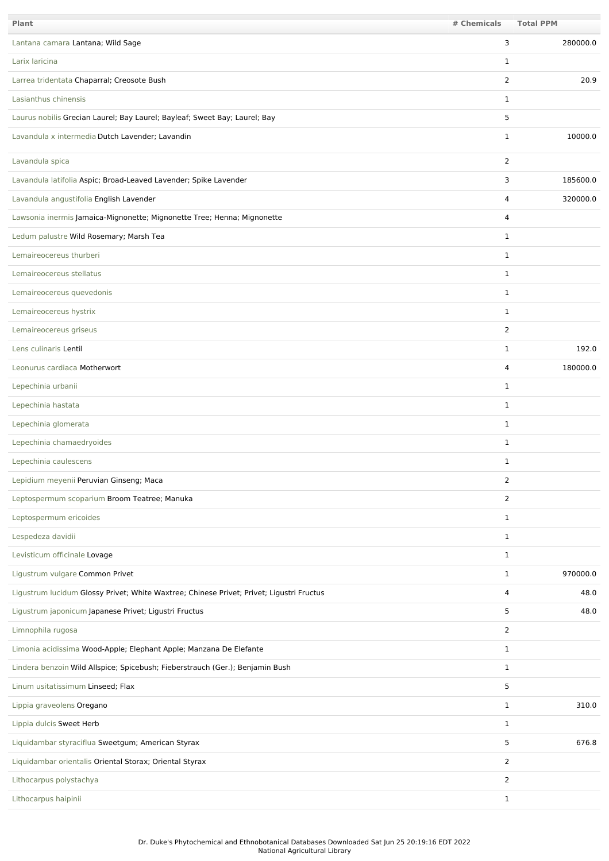| <b>Plant</b>                                                                             | # Chemicals    | <b>Total PPM</b> |
|------------------------------------------------------------------------------------------|----------------|------------------|
| Lantana camara Lantana; Wild Sage                                                        | 3              | 280000.0         |
| Larix laricina                                                                           | 1              |                  |
| Larrea tridentata Chaparral; Creosote Bush                                               | $\overline{2}$ | 20.9             |
| Lasianthus chinensis                                                                     | 1              |                  |
| Laurus nobilis Grecian Laurel; Bay Laurel; Bayleaf; Sweet Bay; Laurel; Bay               | 5              |                  |
| Lavandula x intermedia Dutch Lavender; Lavandin                                          | $\mathbf{1}$   | 10000.0          |
| Lavandula spica                                                                          | 2              |                  |
| Lavandula latifolia Aspic; Broad-Leaved Lavender; Spike Lavender                         | 3              | 185600.0         |
| Lavandula angustifolia English Lavender                                                  | 4              | 320000.0         |
| Lawsonia inermis Jamaica-Mignonette; Mignonette Tree; Henna; Mignonette                  | 4              |                  |
| Ledum palustre Wild Rosemary; Marsh Tea                                                  | $\mathbf{1}$   |                  |
| Lemaireocereus thurberi                                                                  | 1              |                  |
| Lemaireocereus stellatus                                                                 | $\mathbf{1}$   |                  |
| Lemaireocereus quevedonis                                                                | $\mathbf{1}$   |                  |
| Lemaireocereus hystrix                                                                   | $\mathbf{1}$   |                  |
| Lemaireocereus griseus                                                                   | $\overline{2}$ |                  |
| Lens culinaris Lentil                                                                    | $\mathbf{1}$   | 192.0            |
| Leonurus cardiaca Motherwort                                                             | 4              | 180000.0         |
| Lepechinia urbanii                                                                       | $\mathbf{1}$   |                  |
| Lepechinia hastata                                                                       | $\mathbf{1}$   |                  |
| Lepechinia glomerata                                                                     | 1              |                  |
| Lepechinia chamaedryoides                                                                | $\mathbf{1}$   |                  |
| Lepechinia caulescens                                                                    | $\mathbf{1}$   |                  |
| Lepidium meyenii Peruvian Ginseng; Maca                                                  | $\overline{2}$ |                  |
| Leptospermum scoparium Broom Teatree; Manuka                                             | $\overline{2}$ |                  |
| Leptospermum ericoides                                                                   | $\mathbf{1}$   |                  |
| Lespedeza davidii                                                                        | $\mathbf{1}$   |                  |
| Levisticum officinale Lovage                                                             | $\mathbf{1}$   |                  |
| Ligustrum vulgare Common Privet                                                          | $\mathbf{1}$   | 970000.0         |
| Ligustrum lucidum Glossy Privet; White Waxtree; Chinese Privet; Privet; Ligustri Fructus | 4              | 48.0             |
| Ligustrum japonicum Japanese Privet; Ligustri Fructus                                    | 5              | 48.0             |
| Limnophila rugosa                                                                        | $\overline{2}$ |                  |
| Limonia acidissima Wood-Apple; Elephant Apple; Manzana De Elefante                       | $\mathbf{1}$   |                  |
| Lindera benzoin Wild Allspice; Spicebush; Fieberstrauch (Ger.); Benjamin Bush            | $\mathbf{1}$   |                  |
| Linum usitatissimum Linseed; Flax                                                        | 5              |                  |
| Lippia graveolens Oregano                                                                | $\mathbf{1}$   | 310.0            |
| Lippia dulcis Sweet Herb                                                                 | $\mathbf{1}$   |                  |
| Liquidambar styraciflua Sweetgum; American Styrax                                        | 5              | 676.8            |
| Liquidambar orientalis Oriental Storax; Oriental Styrax                                  | $\overline{2}$ |                  |
| Lithocarpus polystachya                                                                  | 2              |                  |
| Lithocarpus haipinii                                                                     | $\mathbf{1}$   |                  |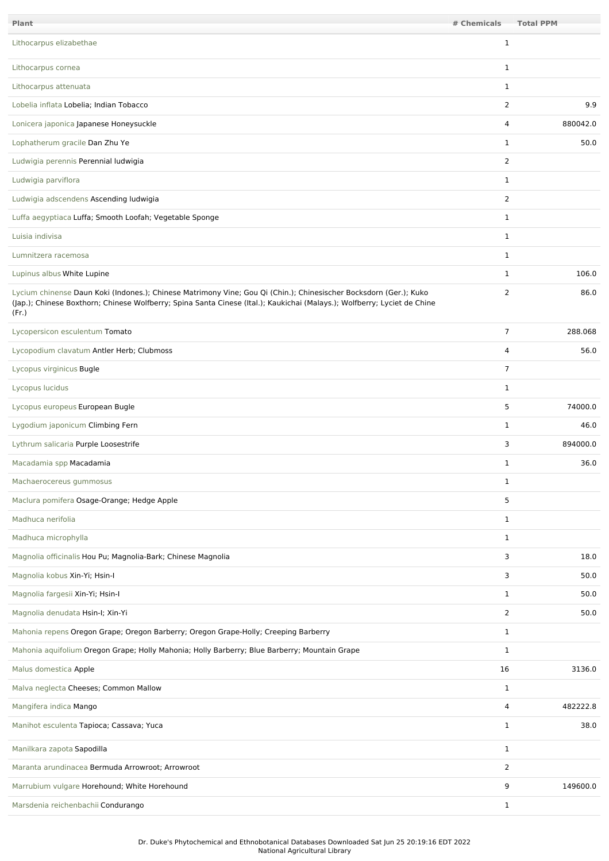| Plant                                                                                                                                                                                                                                                  | # Chemicals    | <b>Total PPM</b> |
|--------------------------------------------------------------------------------------------------------------------------------------------------------------------------------------------------------------------------------------------------------|----------------|------------------|
| Lithocarpus elizabethae                                                                                                                                                                                                                                | 1              |                  |
| Lithocarpus cornea                                                                                                                                                                                                                                     | $\mathbf{1}$   |                  |
| Lithocarpus attenuata                                                                                                                                                                                                                                  | $\mathbf{1}$   |                  |
| Lobelia inflata Lobelia; Indian Tobacco                                                                                                                                                                                                                | 2              | 9.9              |
| Lonicera japonica Japanese Honeysuckle                                                                                                                                                                                                                 | 4              | 880042.0         |
| Lophatherum gracile Dan Zhu Ye                                                                                                                                                                                                                         | $\mathbf{1}$   | 50.0             |
| Ludwigia perennis Perennial ludwigia                                                                                                                                                                                                                   | 2              |                  |
| Ludwigia parviflora                                                                                                                                                                                                                                    | $\mathbf{1}$   |                  |
| Ludwigia adscendens Ascending ludwigia                                                                                                                                                                                                                 | $\overline{2}$ |                  |
| Luffa aegyptiaca Luffa; Smooth Loofah; Vegetable Sponge                                                                                                                                                                                                | $\mathbf{1}$   |                  |
| Luisia indivisa                                                                                                                                                                                                                                        | $\mathbf{1}$   |                  |
| Lumnitzera racemosa                                                                                                                                                                                                                                    | $\mathbf{1}$   |                  |
| Lupinus albus White Lupine                                                                                                                                                                                                                             | $\mathbf{1}$   | 106.0            |
| Lycium chinense Daun Koki (Indones.); Chinese Matrimony Vine; Gou Qi (Chin.); Chinesischer Bocksdorn (Ger.); Kuko<br>(Jap.); Chinese Boxthorn; Chinese Wolfberry; Spina Santa Cinese (Ital.); Kaukichai (Malays.); Wolfberry; Lyciet de Chine<br>(Fr.) | 2              | 86.0             |
| Lycopersicon esculentum Tomato                                                                                                                                                                                                                         | $\overline{7}$ | 288.068          |
| Lycopodium clavatum Antler Herb; Clubmoss                                                                                                                                                                                                              | 4              | 56.0             |
| Lycopus virginicus Bugle                                                                                                                                                                                                                               | $\overline{7}$ |                  |
| Lycopus lucidus                                                                                                                                                                                                                                        | $\mathbf{1}$   |                  |
| Lycopus europeus European Bugle                                                                                                                                                                                                                        | 5              | 74000.0          |
| Lygodium japonicum Climbing Fern                                                                                                                                                                                                                       | $\mathbf{1}$   | 46.0             |
| Lythrum salicaria Purple Loosestrife                                                                                                                                                                                                                   | 3              | 894000.0         |
| Macadamia spp Macadamia                                                                                                                                                                                                                                | $\mathbf{1}$   | 36.0             |
| Machaerocereus gummosus                                                                                                                                                                                                                                | $\mathbf{1}$   |                  |
| Maclura pomifera Osage-Orange; Hedge Apple                                                                                                                                                                                                             | 5              |                  |
| Madhuca nerifolia                                                                                                                                                                                                                                      | $\mathbf{1}$   |                  |
| Madhuca microphylla                                                                                                                                                                                                                                    | $\mathbf{1}$   |                  |
| Magnolia officinalis Hou Pu; Magnolia-Bark; Chinese Magnolia                                                                                                                                                                                           | 3              | 18.0             |
| Magnolia kobus Xin-Yi; Hsin-I                                                                                                                                                                                                                          | 3              | 50.0             |
| Magnolia fargesii Xin-Yi; Hsin-I                                                                                                                                                                                                                       | $\mathbf{1}$   | 50.0             |
| Magnolia denudata Hsin-I; Xin-Yi                                                                                                                                                                                                                       | $\overline{2}$ | 50.0             |
| Mahonia repens Oregon Grape; Oregon Barberry; Oregon Grape-Holly; Creeping Barberry                                                                                                                                                                    | $\mathbf{1}$   |                  |
| Mahonia aquifolium Oregon Grape; Holly Mahonia; Holly Barberry; Blue Barberry; Mountain Grape                                                                                                                                                          | $\mathbf{1}$   |                  |
| Malus domestica Apple                                                                                                                                                                                                                                  | 16             | 3136.0           |
| Malva neglecta Cheeses; Common Mallow                                                                                                                                                                                                                  | $\mathbf{1}$   |                  |
| Mangifera indica Mango                                                                                                                                                                                                                                 | 4              | 482222.8         |
| Manihot esculenta Tapioca; Cassava; Yuca                                                                                                                                                                                                               | $\mathbf{1}$   | 38.0             |
| Manilkara zapota Sapodilla                                                                                                                                                                                                                             | $\mathbf{1}$   |                  |
| Maranta arundinacea Bermuda Arrowroot; Arrowroot                                                                                                                                                                                                       | 2              |                  |
| Marrubium vulgare Horehound; White Horehound                                                                                                                                                                                                           | 9              | 149600.0         |
| Marsdenia reichenbachii Condurango                                                                                                                                                                                                                     | $\mathbf{1}$   |                  |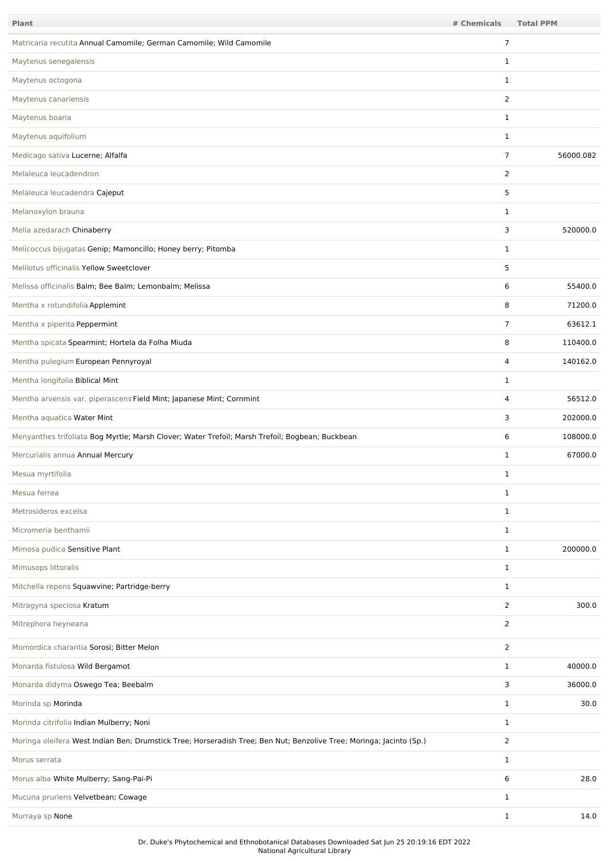| Plant                                                                                                               | # Chemicals    | <b>Total PPM</b> |
|---------------------------------------------------------------------------------------------------------------------|----------------|------------------|
| Matricaria recutita Annual Camomile; German Camomile; Wild Camomile                                                 | $\overline{7}$ |                  |
| Maytenus senegalensis                                                                                               | $\mathbf{1}$   |                  |
| Maytenus octogona                                                                                                   | $\mathbf{1}$   |                  |
| Maytenus canariensis                                                                                                | 2              |                  |
| Maytenus boaria                                                                                                     | $\mathbf{1}$   |                  |
| Maytenus aquifolium                                                                                                 | 1              |                  |
| Medicago sativa Lucerne; Alfalfa                                                                                    | $\overline{7}$ | 56000.082        |
| Melaleuca leucadendron                                                                                              | 2              |                  |
| Melaleuca leucadendra Cajeput                                                                                       | 5              |                  |
| Melanoxylon brauna                                                                                                  | 1              |                  |
| Melia azedarach Chinaberry                                                                                          | 3              | 520000.0         |
| Melicoccus bijugatas Genip; Mamoncillo; Honey berry; Pitomba                                                        | $\mathbf{1}$   |                  |
| Melilotus officinalis Yellow Sweetclover                                                                            | 5              |                  |
| Melissa officinalis Balm; Bee Balm; Lemonbalm; Melissa                                                              | 6              | 55400.0          |
| Mentha x rotundifolia Applemint                                                                                     | 8              | 71200.0          |
| Mentha x piperita Peppermint                                                                                        | $\overline{7}$ | 63612.1          |
| Mentha spicata Spearmint; Hortela da Folha Miuda                                                                    | 8              | 110400.0         |
| Mentha pulegium European Pennyroyal                                                                                 | 4              | 140162.0         |
| Mentha longifolia Biblical Mint                                                                                     | 1              |                  |
| Mentha arvensis var. piperascens Field Mint; Japanese Mint; Cornmint                                                | 4              | 56512.0          |
| Mentha aquatica Water Mint                                                                                          | 3              | 202000.0         |
| Menyanthes trifoliata Bog Myrtle; Marsh Clover; Water Trefoil; Marsh Trefoil; Bogbean; Buckbean                     | 6              | 108000.0         |
| Mercurialis annua Annual Mercury                                                                                    | 1              | 67000.0          |
| Mesua myrtifolia                                                                                                    | 1              |                  |
| Mesua ferrea                                                                                                        | $\mathbf{1}$   |                  |
| Metrosideros excelsa                                                                                                | $\mathbf{1}$   |                  |
| Micromeria benthamii                                                                                                | $\mathbf{1}$   |                  |
| Mimosa pudica Sensitive Plant                                                                                       | $\mathbf{1}$   | 200000.0         |
| Mimusops littoralis                                                                                                 | $\mathbf{1}$   |                  |
| Mitchella repens Squawvine; Partridge-berry                                                                         | $\mathbf{1}$   |                  |
| Mitragyna speciosa Kratum                                                                                           | $\overline{2}$ | 300.0            |
| Mitrephora heyneana                                                                                                 | $\overline{2}$ |                  |
| Momordica charantia Sorosi; Bitter Melon                                                                            | 2              |                  |
| Monarda fistulosa Wild Bergamot                                                                                     | $\mathbf{1}$   | 40000.0          |
| Monarda didyma Oswego Tea; Beebalm                                                                                  | 3              | 36000.0          |
| Morinda sp Morinda                                                                                                  | $\mathbf{1}$   | 30.0             |
| Morinda citrifolia Indian Mulberry; Noni                                                                            | $\mathbf{1}$   |                  |
| Moringa oleifera West Indian Ben; Drumstick Tree; Horseradish Tree; Ben Nut; Benzolive Tree; Moringa; Jacinto (Sp.) | $\overline{2}$ |                  |
| Morus serrata                                                                                                       | $\mathbf{1}$   |                  |
| Morus alba White Mulberry; Sang-Pai-Pi                                                                              | 6              | 28.0             |
| Mucuna pruriens Velvetbean; Cowage                                                                                  | $\mathbf{1}$   |                  |
| Murraya sp None                                                                                                     | $\mathbf{1}$   | 14.0             |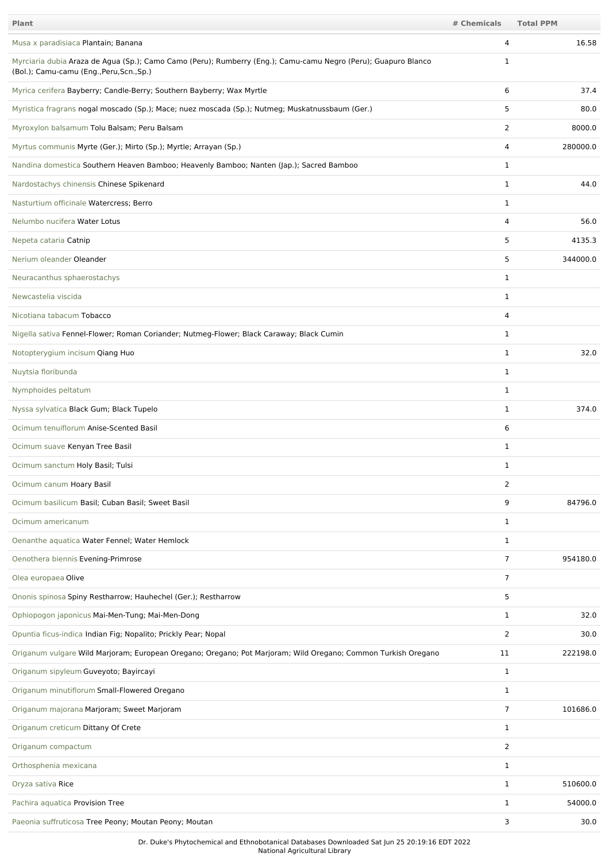| Plant                                                                                                                                                       | # Chemicals    | <b>Total PPM</b> |
|-------------------------------------------------------------------------------------------------------------------------------------------------------------|----------------|------------------|
| Musa x paradisiaca Plantain; Banana                                                                                                                         | 4              | 16.58            |
| Myrciaria dubia Araza de Agua (Sp.); Camo Camo (Peru); Rumberry (Eng.); Camu-camu Negro (Peru); Guapuro Blanco<br>(Bol.); Camu-camu (Eng., Peru, Scn., Sp.) | 1              |                  |
| Myrica cerifera Bayberry; Candle-Berry; Southern Bayberry; Wax Myrtle                                                                                       | 6              | 37.4             |
| Myristica fragrans nogal moscado (Sp.); Mace; nuez moscada (Sp.); Nutmeg; Muskatnussbaum (Ger.)                                                             | 5              | 80.0             |
| Myroxylon balsamum Tolu Balsam; Peru Balsam                                                                                                                 | 2              | 8000.0           |
| Myrtus communis Myrte (Ger.); Mirto (Sp.); Myrtle; Arrayan (Sp.)                                                                                            | 4              | 280000.0         |
| Nandina domestica Southern Heaven Bamboo; Heavenly Bamboo; Nanten (Jap.); Sacred Bamboo                                                                     | 1              |                  |
| Nardostachys chinensis Chinese Spikenard                                                                                                                    | $\mathbf{1}$   | 44.0             |
| Nasturtium officinale Watercress; Berro                                                                                                                     | 1              |                  |
| Nelumbo nucifera Water Lotus                                                                                                                                | 4              | 56.0             |
| Nepeta cataria Catnip                                                                                                                                       | 5              | 4135.3           |
| Nerium oleander Oleander                                                                                                                                    | 5              | 344000.0         |
| Neuracanthus sphaerostachys                                                                                                                                 | 1              |                  |
| Newcastelia viscida                                                                                                                                         | 1              |                  |
| Nicotiana tabacum Tobacco                                                                                                                                   | 4              |                  |
| Nigella sativa Fennel-Flower; Roman Coriander; Nutmeg-Flower; Black Caraway; Black Cumin                                                                    | $\mathbf{1}$   |                  |
| Notopterygium incisum Qiang Huo                                                                                                                             | 1              | 32.0             |
| Nuytsia floribunda                                                                                                                                          | 1              |                  |
| Nymphoides peltatum                                                                                                                                         | $\mathbf{1}$   |                  |
| Nyssa sylvatica Black Gum; Black Tupelo                                                                                                                     | 1              | 374.0            |
| Ocimum tenuiflorum Anise-Scented Basil                                                                                                                      | 6              |                  |
| Ocimum suave Kenyan Tree Basil                                                                                                                              | 1              |                  |
| Ocimum sanctum Holy Basil; Tulsi                                                                                                                            | 1              |                  |
| Ocimum canum Hoary Basil                                                                                                                                    | 2              |                  |
| Ocimum basilicum Basil; Cuban Basil; Sweet Basil                                                                                                            | 9              | 84796.0          |
| Ocimum americanum                                                                                                                                           | 1              |                  |
| Oenanthe aquatica Water Fennel; Water Hemlock                                                                                                               | $\mathbf{1}$   |                  |
| Oenothera biennis Evening-Primrose                                                                                                                          | $\overline{7}$ | 954180.0         |
| Olea europaea Olive                                                                                                                                         | $\overline{7}$ |                  |
| Ononis spinosa Spiny Restharrow; Hauhechel (Ger.); Restharrow                                                                                               | 5              |                  |
| Ophiopogon japonicus Mai-Men-Tung; Mai-Men-Dong                                                                                                             | $\mathbf{1}$   | 32.0             |
| Opuntia ficus-indica Indian Fig; Nopalito; Prickly Pear; Nopal                                                                                              | $\overline{2}$ | 30.0             |
| Origanum vulgare Wild Marjoram; European Oregano; Oregano; Pot Marjoram; Wild Oregano; Common Turkish Oregano                                               | 11             | 222198.0         |
| Origanum sipyleum Guveyoto; Bayircayi                                                                                                                       | $\mathbf{1}$   |                  |
| Origanum minutiflorum Small-Flowered Oregano                                                                                                                | 1              |                  |
| Origanum majorana Marjoram; Sweet Marjoram                                                                                                                  | 7              | 101686.0         |
| Origanum creticum Dittany Of Crete                                                                                                                          | $\mathbf{1}$   |                  |
| Origanum compactum                                                                                                                                          | $\overline{2}$ |                  |
| Orthosphenia mexicana                                                                                                                                       | 1              |                  |
| Oryza sativa Rice                                                                                                                                           | 1              | 510600.0         |
| Pachira aquatica Provision Tree                                                                                                                             | 1              | 54000.0          |
| Paeonia suffruticosa Tree Peony; Moutan Peony; Moutan                                                                                                       | 3              | 30.0             |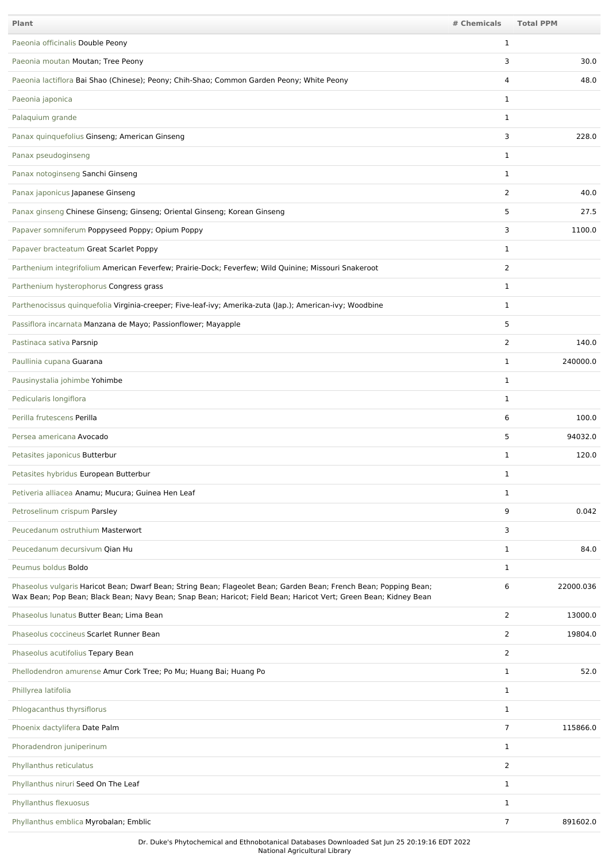| <b>Plant</b>                                                                                                                                                                                                                          | # Chemicals    | <b>Total PPM</b> |
|---------------------------------------------------------------------------------------------------------------------------------------------------------------------------------------------------------------------------------------|----------------|------------------|
| Paeonia officinalis Double Peony                                                                                                                                                                                                      | 1              |                  |
| Paeonia moutan Moutan; Tree Peony                                                                                                                                                                                                     | 3              | 30.0             |
| Paeonia lactiflora Bai Shao (Chinese); Peony; Chih-Shao; Common Garden Peony; White Peony                                                                                                                                             | 4              | 48.0             |
| Paeonia japonica                                                                                                                                                                                                                      | $\mathbf{1}$   |                  |
| Palaquium grande                                                                                                                                                                                                                      | 1              |                  |
| Panax quinquefolius Ginseng; American Ginseng                                                                                                                                                                                         | 3              | 228.0            |
| Panax pseudoginseng                                                                                                                                                                                                                   | 1              |                  |
| Panax notoginseng Sanchi Ginseng                                                                                                                                                                                                      | $\mathbf{1}$   |                  |
| Panax japonicus Japanese Ginseng                                                                                                                                                                                                      | 2              | 40.0             |
| Panax ginseng Chinese Ginseng; Ginseng; Oriental Ginseng; Korean Ginseng                                                                                                                                                              | 5              | 27.5             |
| Papaver somniferum Poppyseed Poppy; Opium Poppy                                                                                                                                                                                       | 3              | 1100.0           |
| Papaver bracteatum Great Scarlet Poppy                                                                                                                                                                                                | 1              |                  |
| Parthenium integrifolium American Feverfew; Prairie-Dock; Feverfew; Wild Quinine; Missouri Snakeroot                                                                                                                                  | $\overline{2}$ |                  |
| Parthenium hysterophorus Congress grass                                                                                                                                                                                               | $\mathbf{1}$   |                  |
| Parthenocissus quinquefolia Virginia-creeper; Five-leaf-ivy; Amerika-zuta (Jap.); American-ivy; Woodbine                                                                                                                              | 1              |                  |
| Passiflora incarnata Manzana de Mayo; Passionflower; Mayapple                                                                                                                                                                         | 5              |                  |
| Pastinaca sativa Parsnip                                                                                                                                                                                                              | 2              | 140.0            |
| Paullinia cupana Guarana                                                                                                                                                                                                              | 1              | 240000.0         |
| Pausinystalia johimbe Yohimbe                                                                                                                                                                                                         | 1              |                  |
| Pedicularis longiflora                                                                                                                                                                                                                | 1              |                  |
| Perilla frutescens Perilla                                                                                                                                                                                                            | 6              | 100.0            |
| Persea americana Avocado                                                                                                                                                                                                              | 5              | 94032.0          |
| Petasites japonicus Butterbur                                                                                                                                                                                                         | 1              | 120.0            |
| Petasites hybridus European Butterbur                                                                                                                                                                                                 |                |                  |
| Petiveria alliacea Anamu; Mucura; Guinea Hen Leaf                                                                                                                                                                                     | 1              |                  |
| Petroselinum crispum Parsley                                                                                                                                                                                                          | 9              | 0.042            |
| Peucedanum ostruthium Masterwort                                                                                                                                                                                                      | 3              |                  |
| Peucedanum decursivum Qian Hu                                                                                                                                                                                                         | $\mathbf{1}$   | 84.0             |
| Peumus boldus Boldo                                                                                                                                                                                                                   | $\mathbf{1}$   |                  |
| Phaseolus vulgaris Haricot Bean; Dwarf Bean; String Bean; Flageolet Bean; Garden Bean; French Bean; Popping Bean;<br>Wax Bean; Pop Bean; Black Bean; Navy Bean; Snap Bean; Haricot; Field Bean; Haricot Vert; Green Bean; Kidney Bean | 6              | 22000.036        |
| Phaseolus lunatus Butter Bean; Lima Bean                                                                                                                                                                                              | $\overline{2}$ | 13000.0          |
| Phaseolus coccineus Scarlet Runner Bean                                                                                                                                                                                               | $\overline{2}$ | 19804.0          |
| Phaseolus acutifolius Tepary Bean                                                                                                                                                                                                     | $\overline{2}$ |                  |
| Phellodendron amurense Amur Cork Tree; Po Mu; Huang Bai; Huang Po                                                                                                                                                                     | $\mathbf{1}$   | 52.0             |
| Phillyrea latifolia                                                                                                                                                                                                                   | $\mathbf{1}$   |                  |
| Phlogacanthus thyrsiflorus                                                                                                                                                                                                            | $\mathbf{1}$   |                  |
| Phoenix dactylifera Date Palm                                                                                                                                                                                                         | 7              | 115866.0         |
| Phoradendron juniperinum                                                                                                                                                                                                              | $\mathbf{1}$   |                  |
| Phyllanthus reticulatus                                                                                                                                                                                                               | $\overline{2}$ |                  |
| Phyllanthus niruri Seed On The Leaf                                                                                                                                                                                                   | $\mathbf{1}$   |                  |
| Phyllanthus flexuosus                                                                                                                                                                                                                 | $\mathbf{1}$   |                  |
| Phyllanthus emblica Myrobalan; Emblic                                                                                                                                                                                                 | 7              | 891602.0         |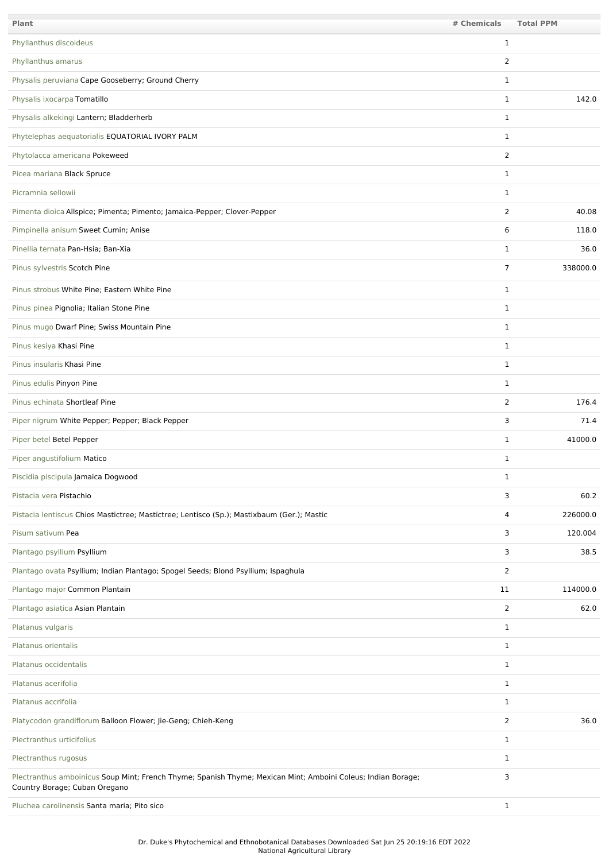| <b>Plant</b>                                                                                                                                  | # Chemicals    | <b>Total PPM</b> |
|-----------------------------------------------------------------------------------------------------------------------------------------------|----------------|------------------|
| Phyllanthus discoideus                                                                                                                        | $\mathbf{1}$   |                  |
| Phyllanthus amarus                                                                                                                            | $\overline{2}$ |                  |
| Physalis peruviana Cape Gooseberry; Ground Cherry                                                                                             | $\mathbf{1}$   |                  |
| Physalis ixocarpa Tomatillo                                                                                                                   | 1              | 142.0            |
| Physalis alkekingi Lantern; Bladderherb                                                                                                       | $\mathbf{1}$   |                  |
| Phytelephas aequatorialis EQUATORIAL IVORY PALM                                                                                               | $\mathbf{1}$   |                  |
| Phytolacca americana Pokeweed                                                                                                                 | 2              |                  |
| Picea mariana Black Spruce                                                                                                                    | $\mathbf{1}$   |                  |
| Picramnia sellowii                                                                                                                            | $\mathbf{1}$   |                  |
| Pimenta dioica Allspice; Pimenta; Pimento; Jamaica-Pepper; Clover-Pepper                                                                      | $\overline{2}$ | 40.08            |
| Pimpinella anisum Sweet Cumin; Anise                                                                                                          | 6              | 118.0            |
| Pinellia ternata Pan-Hsia; Ban-Xia                                                                                                            | 1              | 36.0             |
| Pinus sylvestris Scotch Pine                                                                                                                  | 7              | 338000.0         |
| Pinus strobus White Pine; Eastern White Pine                                                                                                  | $\mathbf{1}$   |                  |
| Pinus pinea Pignolia; Italian Stone Pine                                                                                                      | $\mathbf{1}$   |                  |
| Pinus mugo Dwarf Pine; Swiss Mountain Pine                                                                                                    | $\mathbf{1}$   |                  |
| Pinus kesiya Khasi Pine                                                                                                                       | $\mathbf{1}$   |                  |
| Pinus insularis Khasi Pine                                                                                                                    | $\mathbf{1}$   |                  |
| Pinus edulis Pinyon Pine                                                                                                                      | $\mathbf{1}$   |                  |
| Pinus echinata Shortleaf Pine                                                                                                                 | $\overline{2}$ | 176.4            |
| Piper nigrum White Pepper; Pepper; Black Pepper                                                                                               | 3              | 71.4             |
| Piper betel Betel Pepper                                                                                                                      | 1              | 41000.0          |
| Piper angustifolium Matico                                                                                                                    | $\mathbf{1}$   |                  |
| Piscidia piscipula Jamaica Dogwood                                                                                                            | 1              |                  |
| Pistacia vera Pistachio                                                                                                                       | 3              | 60.2             |
| Pistacia lentiscus Chios Mastictree; Mastictree; Lentisco (Sp.); Mastixbaum (Ger.); Mastic                                                    | 4              | 226000.0         |
| Pisum sativum Pea                                                                                                                             | 3              | 120.004          |
| Plantago psyllium Psyllium                                                                                                                    | 3              | 38.5             |
| Plantago ovata Psyllium; Indian Plantago; Spogel Seeds; Blond Psyllium; Ispaghula                                                             | $\overline{2}$ |                  |
| Plantago major Common Plantain                                                                                                                | 11             | 114000.0         |
| Plantago asiatica Asian Plantain                                                                                                              | 2              | 62.0             |
| Platanus vulgaris                                                                                                                             | $\mathbf{1}$   |                  |
| Platanus orientalis                                                                                                                           | $\mathbf{1}$   |                  |
| Platanus occidentalis                                                                                                                         | $\mathbf{1}$   |                  |
| Platanus acerifolia                                                                                                                           | $\mathbf{1}$   |                  |
| Platanus accrifolia                                                                                                                           | $\mathbf{1}$   |                  |
| Platycodon grandiflorum Balloon Flower; Jie-Geng; Chieh-Keng                                                                                  | $\overline{2}$ | 36.0             |
| Plectranthus urticifolius                                                                                                                     | $\mathbf{1}$   |                  |
| Plectranthus rugosus                                                                                                                          | $\mathbf{1}$   |                  |
| Plectranthus amboinicus Soup Mint; French Thyme; Spanish Thyme; Mexican Mint; Amboini Coleus; Indian Borage;<br>Country Borage; Cuban Oregano | 3              |                  |
| Pluchea carolinensis Santa maria; Pito sico                                                                                                   | $\mathbf{1}$   |                  |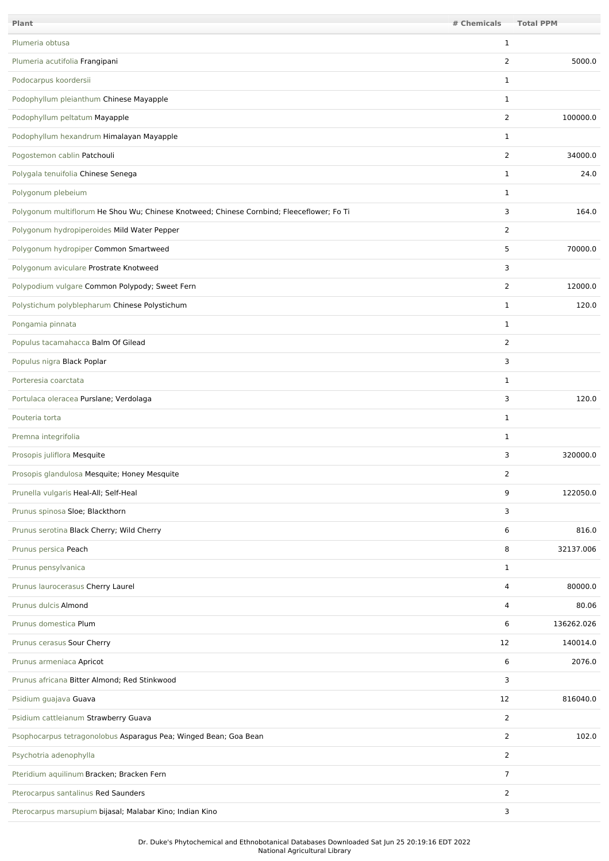| Plant                                                                                     | # Chemicals    | <b>Total PPM</b> |
|-------------------------------------------------------------------------------------------|----------------|------------------|
| Plumeria obtusa                                                                           | $\mathbf{1}$   |                  |
| Plumeria acutifolia Frangipani                                                            | 2              | 5000.0           |
| Podocarpus koordersii                                                                     | $\mathbf{1}$   |                  |
| Podophyllum pleianthum Chinese Mayapple                                                   | $\mathbf{1}$   |                  |
| Podophyllum peltatum Mayapple                                                             | $\overline{2}$ | 100000.0         |
| Podophyllum hexandrum Himalayan Mayapple                                                  | $\mathbf{1}$   |                  |
| Pogostemon cablin Patchouli                                                               | $\overline{2}$ | 34000.0          |
| Polygala tenuifolia Chinese Senega                                                        | $\mathbf{1}$   | 24.0             |
| Polygonum plebeium                                                                        | 1              |                  |
| Polygonum multiflorum He Shou Wu; Chinese Knotweed; Chinese Cornbind; Fleeceflower; Fo Ti | 3              | 164.0            |
| Polygonum hydropiperoides Mild Water Pepper                                               | 2              |                  |
| Polygonum hydropiper Common Smartweed                                                     | 5              | 70000.0          |
| Polygonum aviculare Prostrate Knotweed                                                    | 3              |                  |
| Polypodium vulgare Common Polypody; Sweet Fern                                            | 2              | 12000.0          |
| Polystichum polyblepharum Chinese Polystichum                                             | $\mathbf{1}$   | 120.0            |
| Pongamia pinnata                                                                          | $\mathbf{1}$   |                  |
| Populus tacamahacca Balm Of Gilead                                                        | $\overline{2}$ |                  |
| Populus nigra Black Poplar                                                                | 3              |                  |
| Porteresia coarctata                                                                      | 1              |                  |
| Portulaca oleracea Purslane; Verdolaga                                                    | 3              | 120.0            |
| Pouteria torta                                                                            | $\mathbf{1}$   |                  |
| Premna integrifolia                                                                       | $\mathbf{1}$   |                  |
| Prosopis juliflora Mesquite                                                               | 3              | 320000.0         |
| Prosopis glandulosa Mesquite; Honey Mesquite                                              | 2              |                  |
| Prunella vulgaris Heal-All; Self-Heal                                                     | 9              | 122050.0         |
| Prunus spinosa Sloe; Blackthorn                                                           | 3              |                  |
| Prunus serotina Black Cherry; Wild Cherry                                                 | 6              | 816.0            |
| Prunus persica Peach                                                                      | 8              | 32137.006        |
| Prunus pensylvanica                                                                       | $\mathbf{1}$   |                  |
| Prunus laurocerasus Cherry Laurel                                                         | 4              | 80000.0          |
| Prunus dulcis Almond                                                                      | 4              | 80.06            |
| Prunus domestica Plum                                                                     | 6              | 136262.026       |
| Prunus cerasus Sour Cherry                                                                | 12             | 140014.0         |
| Prunus armeniaca Apricot                                                                  | 6              | 2076.0           |
| Prunus africana Bitter Almond; Red Stinkwood                                              | 3              |                  |
| Psidium guajava Guava                                                                     | 12             | 816040.0         |
| Psidium cattleianum Strawberry Guava                                                      | 2              |                  |
| Psophocarpus tetragonolobus Asparagus Pea; Winged Bean; Goa Bean                          | $\overline{2}$ | 102.0            |
| Psychotria adenophylla                                                                    | 2              |                  |
| Pteridium aquilinum Bracken; Bracken Fern                                                 | $\overline{7}$ |                  |
| Pterocarpus santalinus Red Saunders                                                       | $\overline{2}$ |                  |
| Pterocarpus marsupium bijasal; Malabar Kino; Indian Kino                                  | 3              |                  |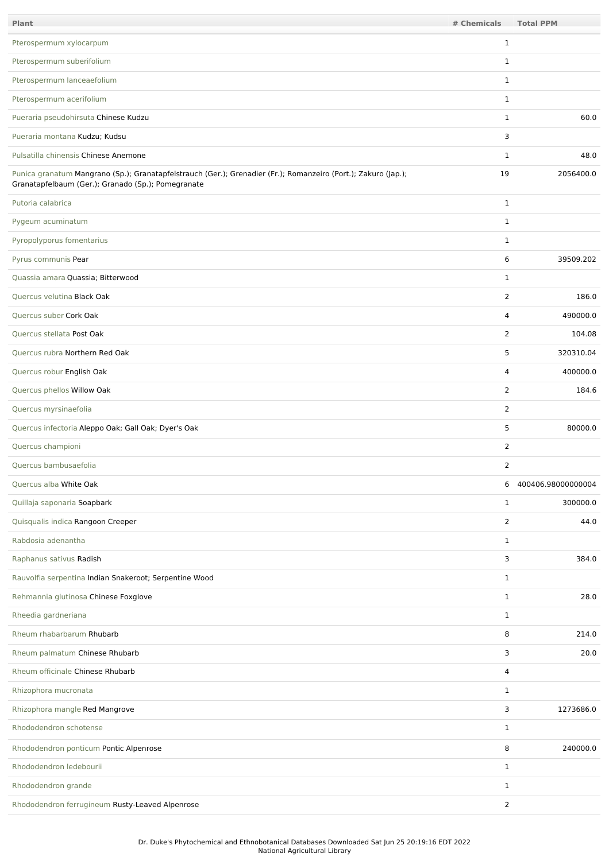| Plant                                                                                                                                                                | # Chemicals    | <b>Total PPM</b>     |
|----------------------------------------------------------------------------------------------------------------------------------------------------------------------|----------------|----------------------|
| Pterospermum xylocarpum                                                                                                                                              | $\mathbf{1}$   |                      |
| Pterospermum suberifolium                                                                                                                                            | $\mathbf{1}$   |                      |
| Pterospermum lanceaefolium                                                                                                                                           | $\mathbf{1}$   |                      |
| Pterospermum acerifolium                                                                                                                                             | $\mathbf{1}$   |                      |
| Pueraria pseudohirsuta Chinese Kudzu                                                                                                                                 | $\mathbf{1}$   | 60.0                 |
| Pueraria montana Kudzu; Kudsu                                                                                                                                        | 3              |                      |
| Pulsatilla chinensis Chinese Anemone                                                                                                                                 | $\mathbf{1}$   | 48.0                 |
| Punica granatum Mangrano (Sp.); Granatapfelstrauch (Ger.); Grenadier (Fr.); Romanzeiro (Port.); Zakuro (Jap.);<br>Granatapfelbaum (Ger.); Granado (Sp.); Pomegranate | 19             | 2056400.0            |
| Putoria calabrica                                                                                                                                                    | $\mathbf{1}$   |                      |
| Pygeum acuminatum                                                                                                                                                    | $\mathbf{1}$   |                      |
| Pyropolyporus fomentarius                                                                                                                                            | $\mathbf{1}$   |                      |
| Pyrus communis Pear                                                                                                                                                  | 6              | 39509.202            |
| Quassia amara Quassia; Bitterwood                                                                                                                                    | $\mathbf{1}$   |                      |
| Quercus velutina Black Oak                                                                                                                                           | 2              | 186.0                |
| Quercus suber Cork Oak                                                                                                                                               | 4              | 490000.0             |
| Quercus stellata Post Oak                                                                                                                                            | $\overline{2}$ | 104.08               |
| Quercus rubra Northern Red Oak                                                                                                                                       | 5              | 320310.04            |
| Quercus robur English Oak                                                                                                                                            | 4              | 400000.0             |
| Quercus phellos Willow Oak                                                                                                                                           | 2              | 184.6                |
| Quercus myrsinaefolia                                                                                                                                                | $\overline{2}$ |                      |
| Quercus infectoria Aleppo Oak; Gall Oak; Dyer's Oak                                                                                                                  | 5              | 80000.0              |
| Quercus championi                                                                                                                                                    | 2              |                      |
| Quercus bambusaefolia                                                                                                                                                | 2              |                      |
| Quercus alba White Oak                                                                                                                                               |                | 6 400406.98000000004 |
| Quillaja saponaria Soapbark                                                                                                                                          | $\mathbf{1}$   | 300000.0             |
| Quisqualis indica Rangoon Creeper                                                                                                                                    | 2              | 44.0                 |
| Rabdosia adenantha                                                                                                                                                   | $\mathbf{1}$   |                      |
| Raphanus sativus Radish                                                                                                                                              | 3              | 384.0                |
| Rauvolfia serpentina Indian Snakeroot; Serpentine Wood                                                                                                               | $\mathbf{1}$   |                      |
| Rehmannia glutinosa Chinese Foxglove                                                                                                                                 | $\mathbf{1}$   | 28.0                 |
| Rheedia gardneriana                                                                                                                                                  | $\mathbf{1}$   |                      |
| Rheum rhabarbarum Rhubarb                                                                                                                                            | 8              | 214.0                |
| Rheum palmatum Chinese Rhubarb                                                                                                                                       | 3              | 20.0                 |
| Rheum officinale Chinese Rhubarb                                                                                                                                     | 4              |                      |
| Rhizophora mucronata                                                                                                                                                 | $\mathbf{1}$   |                      |
| Rhizophora mangle Red Mangrove                                                                                                                                       | 3              | 1273686.0            |
| Rhododendron schotense                                                                                                                                               | $\mathbf{1}$   |                      |
| Rhododendron ponticum Pontic Alpenrose                                                                                                                               | 8              | 240000.0             |
| Rhododendron ledebourii                                                                                                                                              | $\mathbf{1}$   |                      |
| Rhododendron grande                                                                                                                                                  | $\mathbf{1}$   |                      |
| Rhododendron ferrugineum Rusty-Leaved Alpenrose                                                                                                                      | 2              |                      |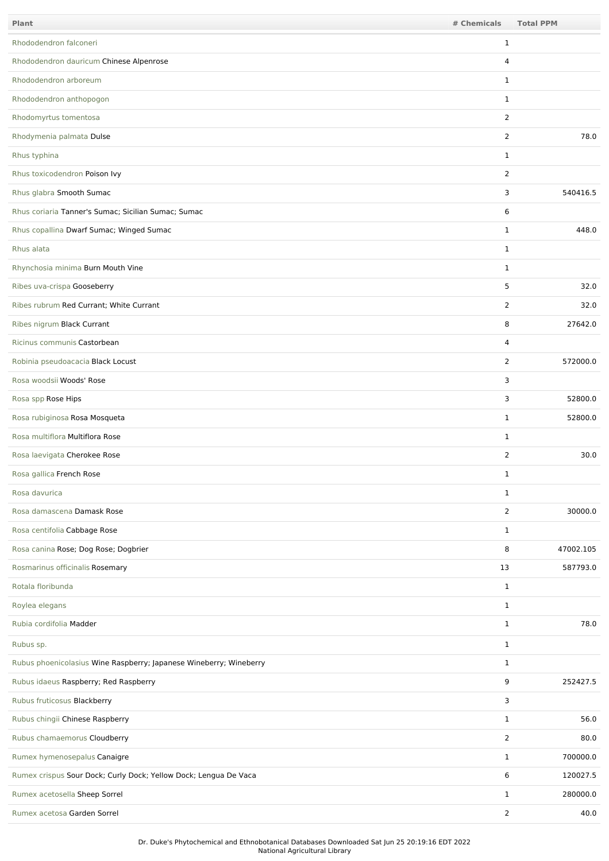| Plant                                                              | # Chemicals    | <b>Total PPM</b> |
|--------------------------------------------------------------------|----------------|------------------|
| Rhododendron falconeri                                             | 1              |                  |
| Rhododendron dauricum Chinese Alpenrose                            | 4              |                  |
| Rhododendron arboreum                                              | $\mathbf{1}$   |                  |
| Rhododendron anthopogon                                            | $\mathbf{1}$   |                  |
| Rhodomyrtus tomentosa                                              | 2              |                  |
| Rhodymenia palmata Dulse                                           | $\overline{2}$ | 78.0             |
| Rhus typhina                                                       | $\mathbf{1}$   |                  |
| Rhus toxicodendron Poison Ivy                                      | $\overline{2}$ |                  |
| Rhus glabra Smooth Sumac                                           | 3              | 540416.5         |
| Rhus coriaria Tanner's Sumac; Sicilian Sumac; Sumac                | 6              |                  |
| Rhus copallina Dwarf Sumac; Winged Sumac                           | $\mathbf{1}$   | 448.0            |
| Rhus alata                                                         | $\mathbf{1}$   |                  |
| Rhynchosia minima Burn Mouth Vine                                  | $\mathbf{1}$   |                  |
| Ribes uva-crispa Gooseberry                                        | 5              | 32.0             |
| Ribes rubrum Red Currant; White Currant                            | $\overline{2}$ | 32.0             |
| Ribes nigrum Black Currant                                         | 8              | 27642.0          |
| Ricinus communis Castorbean                                        | 4              |                  |
| Robinia pseudoacacia Black Locust                                  | 2              | 572000.0         |
| Rosa woodsii Woods' Rose                                           | 3              |                  |
| Rosa spp Rose Hips                                                 | 3              | 52800.0          |
| Rosa rubiginosa Rosa Mosqueta                                      | $\mathbf{1}$   | 52800.0          |
| Rosa multiflora Multiflora Rose                                    | $\mathbf{1}$   |                  |
| Rosa laevigata Cherokee Rose                                       | $\overline{2}$ | 30.0             |
| Rosa gallica French Rose                                           | 1              |                  |
| Rosa davurica                                                      | $\mathbf{1}$   |                  |
| Rosa damascena Damask Rose                                         | 2              | 30000.0          |
| Rosa centifolia Cabbage Rose                                       | $\mathbf{1}$   |                  |
| Rosa canina Rose; Dog Rose; Dogbrier                               | 8              | 47002.105        |
| Rosmarinus officinalis Rosemary                                    | 13             | 587793.0         |
| Rotala floribunda                                                  | $\mathbf{1}$   |                  |
| Roylea elegans                                                     | $\mathbf{1}$   |                  |
| Rubia cordifolia Madder                                            | $\mathbf{1}$   | 78.0             |
| Rubus sp.                                                          | $\mathbf{1}$   |                  |
| Rubus phoenicolasius Wine Raspberry; Japanese Wineberry; Wineberry | $\mathbf{1}$   |                  |
| Rubus idaeus Raspberry; Red Raspberry                              | 9              | 252427.5         |
| Rubus fruticosus Blackberry                                        | 3              |                  |
| Rubus chingii Chinese Raspberry                                    | $\mathbf{1}$   | 56.0             |
| Rubus chamaemorus Cloudberry                                       | 2              | 80.0             |
| Rumex hymenosepalus Canaigre                                       | $\mathbf{1}$   | 700000.0         |
| Rumex crispus Sour Dock; Curly Dock; Yellow Dock; Lengua De Vaca   | 6              | 120027.5         |
| Rumex acetosella Sheep Sorrel                                      | $\mathbf{1}$   | 280000.0         |
| Rumex acetosa Garden Sorrel                                        | $\overline{2}$ | 40.0             |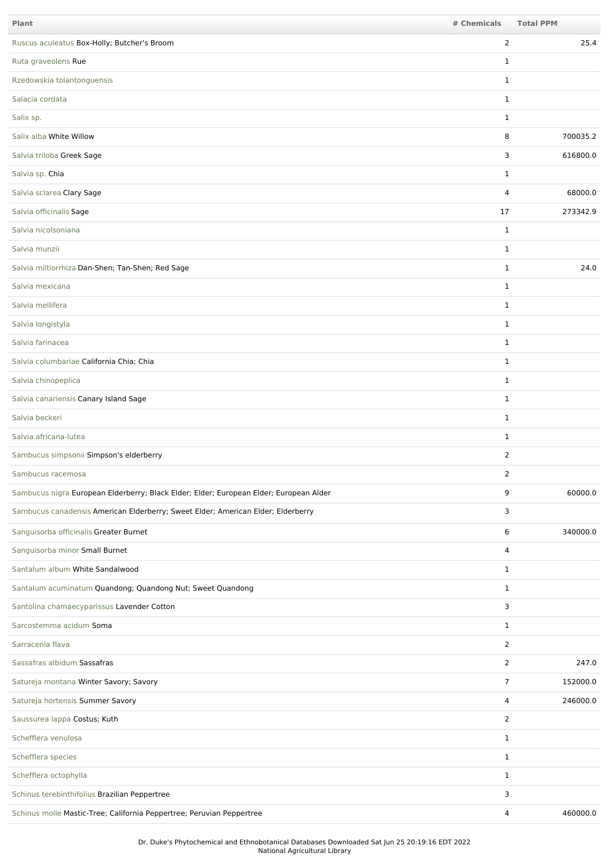| <b>Plant</b>                                                                           | # Chemicals    | <b>Total PPM</b> |
|----------------------------------------------------------------------------------------|----------------|------------------|
| Ruscus aculeatus Box-Holly; Butcher's Broom                                            | $\overline{2}$ | 25.4             |
| Ruta graveolens Rue                                                                    | $\mathbf{1}$   |                  |
| Rzedowskia tolantonguensis                                                             | $\mathbf{1}$   |                  |
| Salacia cordata                                                                        | $\mathbf{1}$   |                  |
| Salix sp.                                                                              | $\mathbf{1}$   |                  |
| Salix alba White Willow                                                                | 8              | 700035.2         |
| Salvia triloba Greek Sage                                                              | 3              | 616800.0         |
| Salvia sp. Chia                                                                        | $\mathbf{1}$   |                  |
| Salvia sclarea Clary Sage                                                              | 4              | 68000.0          |
| Salvia officinalis Sage                                                                | 17             | 273342.9         |
| Salvia nicolsoniana                                                                    | $\mathbf{1}$   |                  |
| Salvia munzii                                                                          | $\mathbf{1}$   |                  |
| Salvia miltiorrhiza Dan-Shen; Tan-Shen; Red Sage                                       | $\mathbf{1}$   | 24.0             |
| Salvia mexicana                                                                        | $\mathbf{1}$   |                  |
| Salvia mellifera                                                                       | $\mathbf{1}$   |                  |
| Salvia longistyla                                                                      | $\mathbf{1}$   |                  |
| Salvia farinacea                                                                       | $\mathbf{1}$   |                  |
| Salvia columbariae California Chia; Chia                                               | $\mathbf{1}$   |                  |
| Salvia chinopeplica                                                                    | $\mathbf{1}$   |                  |
| Salvia canariensis Canary Island Sage                                                  | $\mathbf{1}$   |                  |
| Salvia beckeri                                                                         | $\mathbf{1}$   |                  |
| Salvia africana-lutea                                                                  | $\mathbf{1}$   |                  |
| Sambucus simpsonii Simpson's elderberry                                                | $\overline{2}$ |                  |
| Sambucus racemosa                                                                      | 2              |                  |
| Sambucus nigra European Elderberry; Black Elder; Elder; European Elder; European Alder | 9              | 60000.0          |
| Sambucus canadensis American Elderberry; Sweet Elder; American Elder; Elderberry       | 3              |                  |
| Sanguisorba officinalis Greater Burnet                                                 | 6              | 340000.0         |
| Sanguisorba minor Small Burnet                                                         | 4              |                  |
| Santalum album White Sandalwood                                                        | $\mathbf{1}$   |                  |
| Santalum acuminatum Quandong; Quandong Nut; Sweet Quandong                             | $\mathbf{1}$   |                  |
| Santolina chamaecyparissus Lavender Cotton                                             | 3              |                  |
| Sarcostemma acidum Soma                                                                | $\mathbf{1}$   |                  |
| Sarracenia flava                                                                       | $\overline{2}$ |                  |
| Sassafras albidum Sassafras                                                            | $\overline{2}$ | 247.0            |
| Satureja montana Winter Savory; Savory                                                 | $\overline{7}$ | 152000.0         |
| Satureja hortensis Summer Savory                                                       | 4              | 246000.0         |
| Saussurea lappa Costus; Kuth                                                           | 2              |                  |
| Schefflera venulosa                                                                    | $\mathbf{1}$   |                  |
| Schefflera species                                                                     | $\mathbf{1}$   |                  |
| Schefflera octophylla                                                                  | $\mathbf{1}$   |                  |
| Schinus terebinthifolius Brazilian Peppertree                                          | 3              |                  |
| Schinus molle Mastic-Tree; California Peppertree; Peruvian Peppertree                  | 4              | 460000.0         |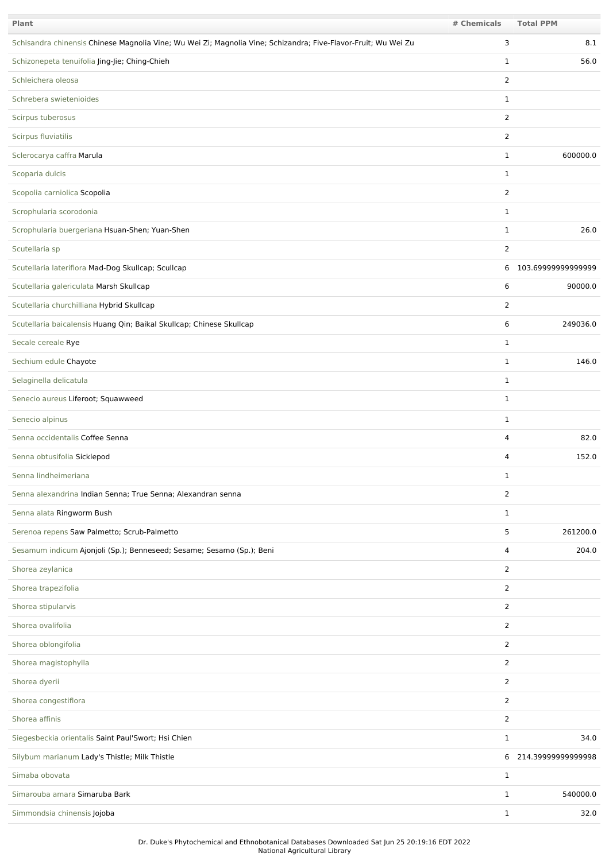| Plant                                                                                                          | # Chemicals    | <b>Total PPM</b>     |
|----------------------------------------------------------------------------------------------------------------|----------------|----------------------|
| Schisandra chinensis Chinese Magnolia Vine; Wu Wei Zi; Magnolia Vine; Schizandra; Five-Flavor-Fruit; Wu Wei Zu | 3              | 8.1                  |
| Schizonepeta tenuifolia Jing-Jie; Ching-Chieh                                                                  | $\mathbf{1}$   | 56.0                 |
| Schleichera oleosa                                                                                             | $\overline{2}$ |                      |
| Schrebera swietenioides                                                                                        | $\mathbf{1}$   |                      |
| Scirpus tuberosus                                                                                              | $\overline{2}$ |                      |
| Scirpus fluviatilis                                                                                            | 2              |                      |
| Sclerocarya caffra Marula                                                                                      | $\mathbf{1}$   | 600000.0             |
| Scoparia dulcis                                                                                                | $\mathbf{1}$   |                      |
| Scopolia carniolica Scopolia                                                                                   | $\overline{2}$ |                      |
| Scrophularia scorodonia                                                                                        | $\mathbf{1}$   |                      |
| Scrophularia buergeriana Hsuan-Shen; Yuan-Shen                                                                 | $\mathbf{1}$   | 26.0                 |
| Scutellaria sp                                                                                                 | $\overline{2}$ |                      |
| Scutellaria lateriflora Mad-Dog Skullcap; Scullcap                                                             |                | 6 103.69999999999999 |
| Scutellaria galericulata Marsh Skullcap                                                                        | 6              | 90000.0              |
| Scutellaria churchilliana Hybrid Skullcap                                                                      | 2              |                      |
| Scutellaria baicalensis Huang Qin; Baikal Skullcap; Chinese Skullcap                                           | 6              | 249036.0             |
| Secale cereale Rye                                                                                             | $\mathbf{1}$   |                      |
| Sechium edule Chayote                                                                                          | $\mathbf{1}$   | 146.0                |
| Selaginella delicatula                                                                                         | $\mathbf{1}$   |                      |
| Senecio aureus Liferoot; Squawweed                                                                             | $\mathbf{1}$   |                      |
| Senecio alpinus                                                                                                | $\mathbf{1}$   |                      |
| Senna occidentalis Coffee Senna                                                                                | 4              | 82.0                 |
| Senna obtusifolia Sicklepod                                                                                    | 4              | 152.0                |
| Senna lindheimeriana                                                                                           | $\mathbf{1}$   |                      |
| Senna alexandrina Indian Senna; True Senna; Alexandran senna                                                   | $\overline{2}$ |                      |
| Senna alata Ringworm Bush                                                                                      | $\mathbf{1}$   |                      |
| Serenoa repens Saw Palmetto; Scrub-Palmetto                                                                    | 5              | 261200.0             |
| Sesamum indicum Ajonjoli (Sp.); Benneseed; Sesame; Sesamo (Sp.); Beni                                          | 4              | 204.0                |
| Shorea zeylanica                                                                                               | 2              |                      |
| Shorea trapezifolia                                                                                            | $\overline{2}$ |                      |
| Shorea stipularvis                                                                                             | 2              |                      |
| Shorea ovalifolia                                                                                              | 2              |                      |
| Shorea oblongifolia                                                                                            | 2              |                      |
| Shorea magistophylla                                                                                           | $\overline{2}$ |                      |
| Shorea dyerii                                                                                                  | 2              |                      |
| Shorea congestiflora                                                                                           | $\overline{2}$ |                      |
| Shorea affinis                                                                                                 | $\overline{2}$ |                      |
| Siegesbeckia orientalis Saint Paul'Swort; Hsi Chien                                                            | 1              | 34.0                 |
| Silybum marianum Lady's Thistle; Milk Thistle                                                                  |                | 6 214.39999999999998 |
| Simaba obovata                                                                                                 | $\mathbf{1}$   |                      |
| Simarouba amara Simaruba Bark                                                                                  | $\mathbf{1}$   | 540000.0             |
| Simmondsia chinensis Jojoba                                                                                    | $\mathbf{1}$   | 32.0                 |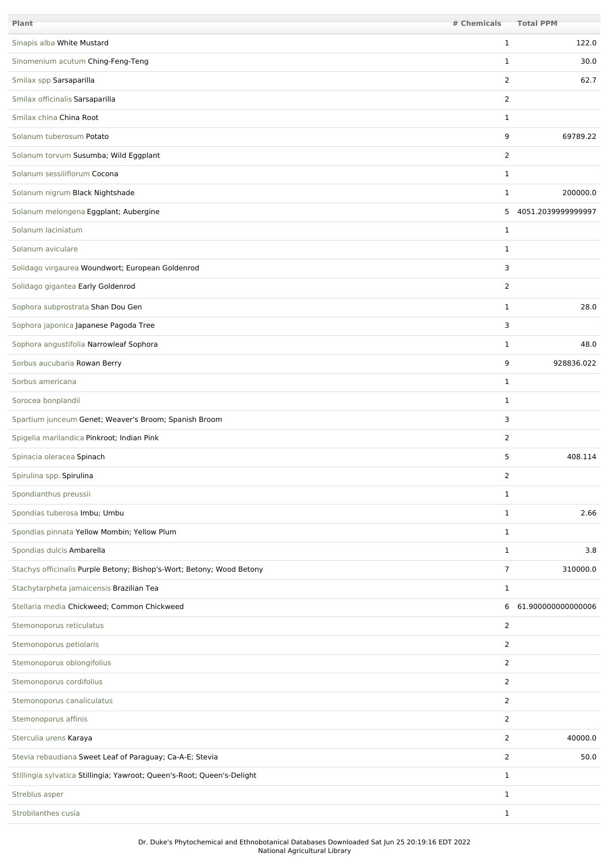| Plant                                                                   | # Chemicals    | <b>Total PPM</b>   |
|-------------------------------------------------------------------------|----------------|--------------------|
| Sinapis alba White Mustard                                              | 1              | 122.0              |
| Sinomenium acutum Ching-Feng-Teng                                       | 1              | 30.0               |
| Smilax spp Sarsaparilla                                                 | $\overline{2}$ | 62.7               |
| Smilax officinalis Sarsaparilla                                         | 2              |                    |
| Smilax china China Root                                                 | $\mathbf{1}$   |                    |
| Solanum tuberosum Potato                                                | 9              | 69789.22           |
| Solanum torvum Susumba; Wild Eggplant                                   | 2              |                    |
| Solanum sessiliflorum Cocona                                            | 1              |                    |
| Solanum nigrum Black Nightshade                                         | $\mathbf{1}$   | 200000.0           |
| Solanum melongena Eggplant; Aubergine                                   | 5              | 4051.2039999999997 |
| Solanum laciniatum                                                      | 1              |                    |
| Solanum aviculare                                                       | $\mathbf{1}$   |                    |
| Solidago virgaurea Woundwort; European Goldenrod                        | 3              |                    |
| Solidago gigantea Early Goldenrod                                       | 2              |                    |
| Sophora subprostrata Shan Dou Gen                                       | 1              | 28.0               |
| Sophora japonica Japanese Pagoda Tree                                   | 3              |                    |
| Sophora angustifolia Narrowleaf Sophora                                 | 1              | 48.0               |
| Sorbus aucubaria Rowan Berry                                            | 9              | 928836.022         |
| Sorbus americana                                                        | $\mathbf{1}$   |                    |
| Sorocea bonplandii                                                      | $\mathbf{1}$   |                    |
| Spartium junceum Genet; Weaver's Broom; Spanish Broom                   | 3              |                    |
| Spigelia marilandica Pinkroot; Indian Pink                              | $\overline{2}$ |                    |
| Spinacia oleracea Spinach                                               | 5              | 408.114            |
| Spirulina spp. Spirulina                                                | 2              |                    |
| Spondianthus preussii                                                   | $\mathbf{1}$   |                    |
| Spondias tuberosa Imbu; Umbu                                            | $\mathbf{1}$   | 2.66               |
| Spondias pinnata Yellow Mombin; Yellow Plum                             | $\mathbf{1}$   |                    |
| Spondias dulcis Ambarella                                               | $\mathbf{1}$   | 3.8                |
| Stachys officinalis Purple Betony; Bishop's-Wort; Betony; Wood Betony   | 7              | 310000.0           |
| Stachytarpheta jamaicensis Brazilian Tea                                | $\mathbf{1}$   |                    |
| Stellaria media Chickweed; Common Chickweed                             | 6              | 61.900000000000006 |
| Stemonoporus reticulatus                                                | $\overline{2}$ |                    |
| Stemonoporus petiolaris                                                 | 2              |                    |
| Stemonoporus oblongifolius                                              | $\overline{2}$ |                    |
| Stemonoporus cordifolius                                                | $\overline{2}$ |                    |
| Stemonoporus canaliculatus                                              | 2              |                    |
| Stemonoporus affinis                                                    | $\overline{2}$ |                    |
| Sterculia urens Karaya                                                  | 2              | 40000.0            |
| Stevia rebaudiana Sweet Leaf of Paraguay; Ca-A-E; Stevia                | $\overline{2}$ | 50.0               |
| Stillingia sylvatica Stillingia; Yawroot; Queen's-Root; Queen's-Delight | $\mathbf{1}$   |                    |
| Streblus asper                                                          | $\mathbf{1}$   |                    |
| Strobilanthes cusia                                                     | $\mathbf{1}$   |                    |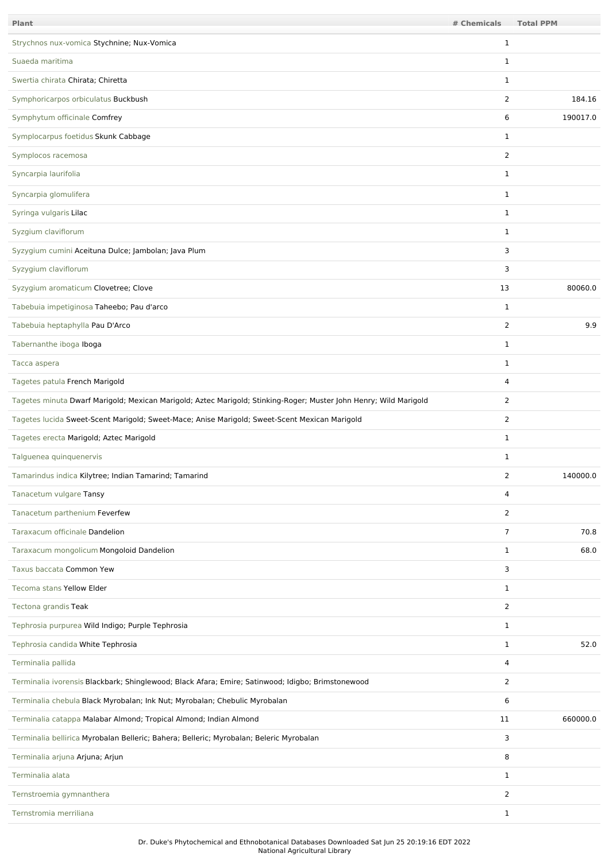| <b>Plant</b>                                                                                                      | # Chemicals    | <b>Total PPM</b> |
|-------------------------------------------------------------------------------------------------------------------|----------------|------------------|
| Strychnos nux-vomica Stychnine; Nux-Vomica                                                                        | 1              |                  |
| Suaeda maritima                                                                                                   | 1              |                  |
| Swertia chirata Chirata; Chiretta                                                                                 | $\mathbf{1}$   |                  |
| Symphoricarpos orbiculatus Buckbush                                                                               | 2              | 184.16           |
| Symphytum officinale Comfrey                                                                                      | 6              | 190017.0         |
| Symplocarpus foetidus Skunk Cabbage                                                                               | 1              |                  |
| Symplocos racemosa                                                                                                | $\overline{2}$ |                  |
| Syncarpia laurifolia                                                                                              | 1              |                  |
| Syncarpia glomulifera                                                                                             | 1              |                  |
| Syringa vulgaris Lilac                                                                                            | $\mathbf{1}$   |                  |
| Syzgium claviflorum                                                                                               | 1              |                  |
| Syzygium cumini Aceituna Dulce; Jambolan; Java Plum                                                               | 3              |                  |
| Syzygium claviflorum                                                                                              | 3              |                  |
| Syzygium aromaticum Clovetree; Clove                                                                              | 13             | 80060.0          |
| Tabebuia impetiginosa Taheebo; Pau d'arco                                                                         | 1              |                  |
| Tabebuia heptaphylla Pau D'Arco                                                                                   | $\overline{2}$ | 9.9              |
| Tabernanthe iboga Iboga                                                                                           | 1              |                  |
| Tacca aspera                                                                                                      | $\mathbf{1}$   |                  |
| Tagetes patula French Marigold                                                                                    | 4              |                  |
| Tagetes minuta Dwarf Marigold; Mexican Marigold; Aztec Marigold; Stinking-Roger; Muster John Henry; Wild Marigold | $\overline{2}$ |                  |
| Tagetes lucida Sweet-Scent Marigold; Sweet-Mace; Anise Marigold; Sweet-Scent Mexican Marigold                     | $\overline{2}$ |                  |
| Tagetes erecta Marigold; Aztec Marigold                                                                           | 1              |                  |
| Talguenea quinquenervis                                                                                           | $\mathbf{1}$   |                  |
| Tamarindus indica Kilytree; Indian Tamarind; Tamarind                                                             | 2              | 140000.0         |
| Tanacetum vulgare Tansy                                                                                           | 4              |                  |
| Tanacetum parthenium Feverfew                                                                                     | $\overline{2}$ |                  |
| Taraxacum officinale Dandelion                                                                                    | 7              | 70.8             |
| Taraxacum mongolicum Mongoloid Dandelion                                                                          | $\mathbf{1}$   | 68.0             |
| Taxus baccata Common Yew                                                                                          | 3              |                  |
| Tecoma stans Yellow Elder                                                                                         | $\mathbf{1}$   |                  |
| Tectona grandis Teak                                                                                              | $\overline{2}$ |                  |
| Tephrosia purpurea Wild Indigo; Purple Tephrosia                                                                  | $\mathbf{1}$   |                  |
| Tephrosia candida White Tephrosia                                                                                 | $\mathbf{1}$   | 52.0             |
| Terminalia pallida                                                                                                | 4              |                  |
| Terminalia ivorensis Blackbark; Shinglewood; Black Afara; Emire; Satinwood; Idigbo; Brimstonewood                 | $\overline{2}$ |                  |
| Terminalia chebula Black Myrobalan; Ink Nut; Myrobalan; Chebulic Myrobalan                                        | 6              |                  |
| Terminalia catappa Malabar Almond; Tropical Almond; Indian Almond                                                 | 11             | 660000.0         |
| Terminalia bellirica Myrobalan Belleric; Bahera; Belleric; Myrobalan; Beleric Myrobalan                           | 3              |                  |
| Terminalia arjuna Arjuna; Arjun                                                                                   | 8              |                  |
| Terminalia alata                                                                                                  | $\mathbf{1}$   |                  |
| Ternstroemia gymnanthera                                                                                          | $\overline{2}$ |                  |
| Ternstromia merriliana                                                                                            | 1              |                  |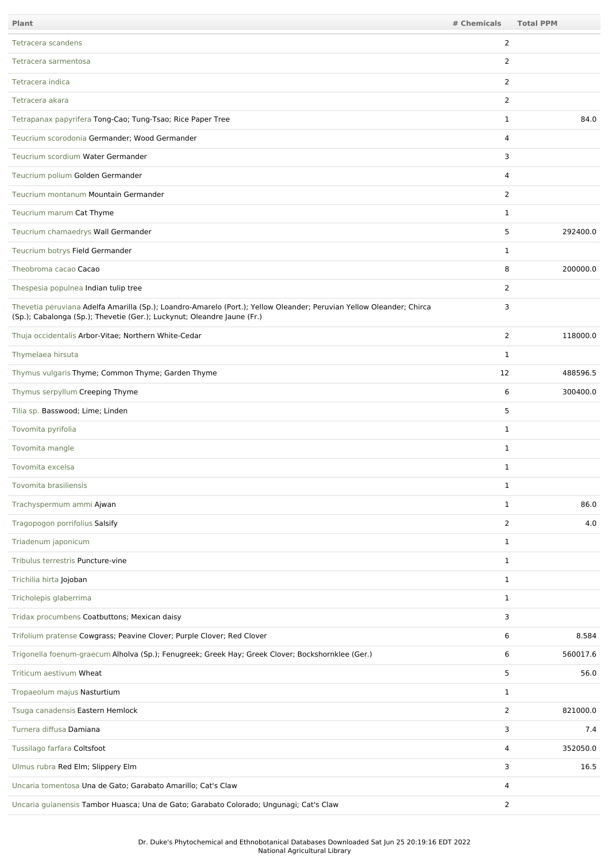| Plant                                                                                                                                                                                           | # Chemicals    | <b>Total PPM</b> |
|-------------------------------------------------------------------------------------------------------------------------------------------------------------------------------------------------|----------------|------------------|
| Tetracera scandens                                                                                                                                                                              | 2              |                  |
| Tetracera sarmentosa                                                                                                                                                                            | $\overline{2}$ |                  |
| Tetracera indica                                                                                                                                                                                | $\overline{2}$ |                  |
| Tetracera akara                                                                                                                                                                                 | 2              |                  |
| Tetrapanax papyrifera Tong-Cao; Tung-Tsao; Rice Paper Tree                                                                                                                                      | $\mathbf{1}$   | 84.0             |
| Teucrium scorodonia Germander; Wood Germander                                                                                                                                                   | 4              |                  |
| Teucrium scordium Water Germander                                                                                                                                                               | 3              |                  |
| Teucrium polium Golden Germander                                                                                                                                                                | 4              |                  |
| Teucrium montanum Mountain Germander                                                                                                                                                            | 2              |                  |
| Teucrium marum Cat Thyme                                                                                                                                                                        | $\mathbf{1}$   |                  |
| Teucrium chamaedrys Wall Germander                                                                                                                                                              | 5              | 292400.0         |
| Teucrium botrys Field Germander                                                                                                                                                                 | 1              |                  |
| Theobroma cacao Cacao                                                                                                                                                                           | 8              | 200000.0         |
| Thespesia populnea Indian tulip tree                                                                                                                                                            | $\overline{2}$ |                  |
| Thevetia peruviana Adelfa Amarilla (Sp.); Loandro-Amarelo (Port.); Yellow Oleander; Peruvian Yellow Oleander; Chirca<br>(Sp.); Cabalonga (Sp.); Thevetie (Ger.); Luckynut; Oleandre Jaune (Fr.) | 3              |                  |
| Thuja occidentalis Arbor-Vitae; Northern White-Cedar                                                                                                                                            | $\overline{2}$ | 118000.0         |
| Thymelaea hirsuta                                                                                                                                                                               | 1              |                  |
| Thymus vulgaris Thyme; Common Thyme; Garden Thyme                                                                                                                                               | 12             | 488596.5         |
| Thymus serpyllum Creeping Thyme                                                                                                                                                                 | 6              | 300400.0         |
| Tilia sp. Basswood; Lime; Linden                                                                                                                                                                | 5              |                  |
| Tovomita pyrifolia                                                                                                                                                                              | $\mathbf{1}$   |                  |
| Tovomita mangle                                                                                                                                                                                 | $\mathbf{1}$   |                  |
| Tovomita excelsa                                                                                                                                                                                | 1              |                  |
| Tovomita brasiliensis                                                                                                                                                                           | 1              |                  |
| Trachyspermum ammi Ajwan                                                                                                                                                                        | $\mathbf{1}$   | 86.0             |
| Tragopogon porrifolius Salsify                                                                                                                                                                  | 2              | 4.0              |
| Triadenum japonicum                                                                                                                                                                             | $\mathbf{1}$   |                  |
| Tribulus terrestris Puncture-vine                                                                                                                                                               | $\mathbf{1}$   |                  |
| Trichilia hirta Jojoban                                                                                                                                                                         | $\mathbf{1}$   |                  |
| Tricholepis glaberrima                                                                                                                                                                          | $\mathbf{1}$   |                  |
| Tridax procumbens Coatbuttons; Mexican daisy                                                                                                                                                    | 3              |                  |
| Trifolium pratense Cowgrass; Peavine Clover; Purple Clover; Red Clover                                                                                                                          | 6              | 8.584            |
| Trigonella foenum-graecum Alholva (Sp.); Fenugreek; Greek Hay; Greek Clover; Bockshornklee (Ger.)                                                                                               | 6              | 560017.6         |
| Triticum aestivum Wheat                                                                                                                                                                         | 5              | 56.0             |
| Tropaeolum majus Nasturtium                                                                                                                                                                     | $\mathbf{1}$   |                  |
| Tsuga canadensis Eastern Hemlock                                                                                                                                                                | $\overline{2}$ | 821000.0         |
| Turnera diffusa Damiana                                                                                                                                                                         | 3              | 7.4              |
| Tussilago farfara Coltsfoot                                                                                                                                                                     | 4              | 352050.0         |
| Ulmus rubra Red Elm; Slippery Elm                                                                                                                                                               | 3              | 16.5             |
| Uncaria tomentosa Una de Gato; Garabato Amarillo; Cat's Claw                                                                                                                                    | 4              |                  |
| Uncaria guianensis Tambor Huasca; Una de Gato; Garabato Colorado; Ungunagi; Cat's Claw                                                                                                          | $\overline{2}$ |                  |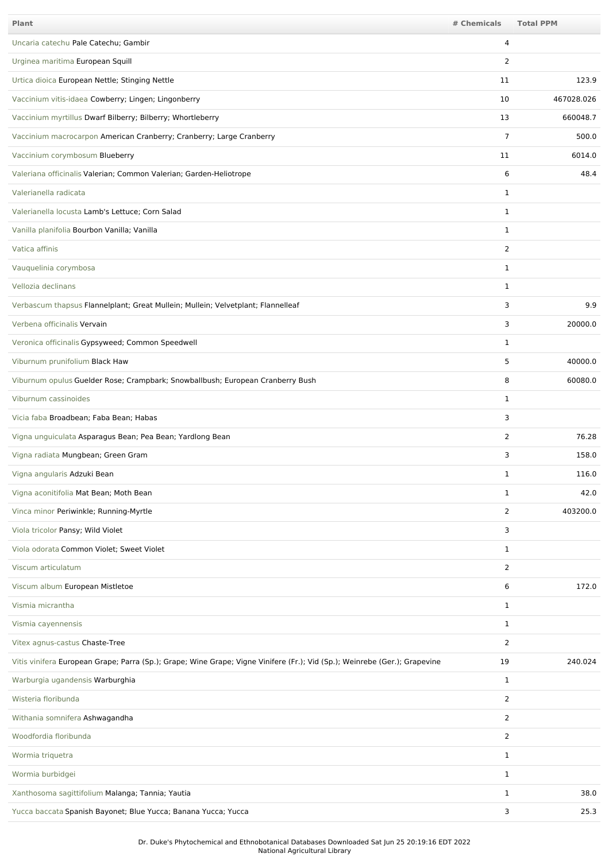| <b>Plant</b>                                                                                                               | # Chemicals    | <b>Total PPM</b> |
|----------------------------------------------------------------------------------------------------------------------------|----------------|------------------|
| Uncaria catechu Pale Catechu; Gambir                                                                                       | 4              |                  |
| Urginea maritima European Squill                                                                                           | 2              |                  |
| Urtica dioica European Nettle; Stinging Nettle                                                                             | 11             | 123.9            |
| Vaccinium vitis-idaea Cowberry; Lingen; Lingonberry                                                                        | 10             | 467028.026       |
| Vaccinium myrtillus Dwarf Bilberry; Bilberry; Whortleberry                                                                 | 13             | 660048.7         |
| Vaccinium macrocarpon American Cranberry; Cranberry; Large Cranberry                                                       | $\overline{7}$ | 500.0            |
| Vaccinium corymbosum Blueberry                                                                                             | 11             | 6014.0           |
| Valeriana officinalis Valerian; Common Valerian; Garden-Heliotrope                                                         | 6              | 48.4             |
| Valerianella radicata                                                                                                      | $\mathbf{1}$   |                  |
| Valerianella locusta Lamb's Lettuce; Corn Salad                                                                            | $\mathbf{1}$   |                  |
| Vanilla planifolia Bourbon Vanilla; Vanilla                                                                                | 1              |                  |
| Vatica affinis                                                                                                             | $\overline{2}$ |                  |
| Vauquelinia corymbosa                                                                                                      | 1              |                  |
| Vellozia declinans                                                                                                         | $\mathbf{1}$   |                  |
| Verbascum thapsus Flannelplant; Great Mullein; Mullein; Velvetplant; Flannelleaf                                           | 3              | 9.9              |
| Verbena officinalis Vervain                                                                                                | 3              | 20000.0          |
| Veronica officinalis Gypsyweed; Common Speedwell                                                                           | 1              |                  |
| Viburnum prunifolium Black Haw                                                                                             | 5              | 40000.0          |
| Viburnum opulus Guelder Rose; Crampbark; Snowballbush; European Cranberry Bush                                             | 8              | 60080.0          |
| Viburnum cassinoides                                                                                                       | $\mathbf{1}$   |                  |
| Vicia faba Broadbean; Faba Bean; Habas                                                                                     | 3              |                  |
| Vigna unguiculata Asparagus Bean; Pea Bean; Yardlong Bean                                                                  | $\overline{2}$ | 76.28            |
| Vigna radiata Mungbean; Green Gram                                                                                         | 3              | 158.0            |
| Vigna angularis Adzuki Bean                                                                                                | 1              | 116.0            |
| Vigna aconitifolia Mat Bean; Moth Bean                                                                                     | $\mathbf{1}$   | 42.0             |
| Vinca minor Periwinkle; Running-Myrtle                                                                                     | 2              | 403200.0         |
| Viola tricolor Pansy; Wild Violet                                                                                          | 3              |                  |
| Viola odorata Common Violet; Sweet Violet                                                                                  | $\mathbf{1}$   |                  |
| Viscum articulatum                                                                                                         | $\overline{2}$ |                  |
| Viscum album European Mistletoe                                                                                            | 6              | 172.0            |
| Vismia micrantha                                                                                                           | 1              |                  |
| Vismia cayennensis                                                                                                         | $\mathbf{1}$   |                  |
| Vitex agnus-castus Chaste-Tree                                                                                             | $\overline{2}$ |                  |
| Vitis vinifera European Grape; Parra (Sp.); Grape; Wine Grape; Vigne Vinifere (Fr.); Vid (Sp.); Weinrebe (Ger.); Grapevine | 19             | 240.024          |
| Warburgia ugandensis Warburghia                                                                                            | $\mathbf{1}$   |                  |
| Wisteria floribunda                                                                                                        | $\overline{2}$ |                  |
| Withania somnifera Ashwagandha                                                                                             | $\overline{2}$ |                  |
| Woodfordia floribunda                                                                                                      | $\overline{2}$ |                  |
| Wormia triquetra                                                                                                           | $\mathbf{1}$   |                  |
| Wormia burbidgei                                                                                                           | 1              |                  |
| Xanthosoma sagittifolium Malanga; Tannia; Yautia                                                                           | $\mathbf{1}$   | 38.0             |
| Yucca baccata Spanish Bayonet; Blue Yucca; Banana Yucca; Yucca                                                             | 3              | 25.3             |